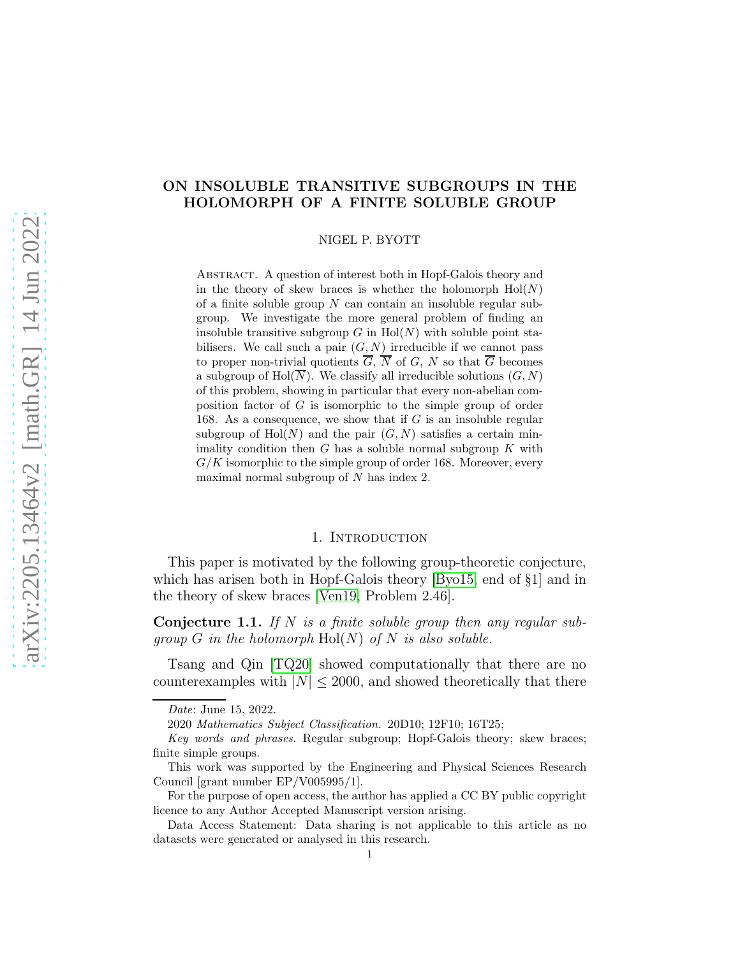# ON INSOLUBLE TRANSITIVE SUBGROUPS IN THE HOLOMORPH OF A FINITE SOLUBLE GROUP

NIGEL P. BYOTT

ABSTRACT. A question of interest both in Hopf-Galois theory and in the theory of skew braces is whether the holomorph  $Hol(N)$ of a finite soluble group  $N$  can contain an insoluble regular subgroup. We investigate the more general problem of finding an insoluble transitive subgroup  $G$  in  $Hol(N)$  with soluble point stabilisers. We call such a pair  $(G, N)$  irreducible if we cannot pass to proper non-trivial quotients  $\overline{G}$ ,  $\overline{N}$  of  $G$ ,  $N$  so that  $\overline{G}$  becomes a subgroup of  $Hol(N)$ . We classify all irreducible solutions  $(G, N)$ of this problem, showing in particular that every non-abelian composition factor of G is isomorphic to the simple group of order 168. As a consequence, we show that if  $G$  is an insoluble regular subgroup of  $Hol(N)$  and the pair  $(G, N)$  satisfies a certain minimality condition then  $G$  has a soluble normal subgroup  $K$  with  $G/K$  isomorphic to the simple group of order 168. Moreover, every maximal normal subgroup of N has index 2.

## 1. INTRODUCTION

This paper is motivated by the following group-theoretic conjecture, which has arisen both in Hopf-Galois theory [\[Byo15,](#page-29-0) end of §1] and in the theory of skew braces [\[Ven19,](#page-29-1) Problem 2.46].

<span id="page-0-0"></span>**Conjecture 1.1.** If N is a finite soluble group then any regular subgroup G in the holomorph  $Hol(N)$  of N is also soluble.

Tsang and Qin [\[TQ20\]](#page-29-2) showed computationally that there are no counterexamples with  $|N| \leq 2000$ , and showed theoretically that there

*Date*: June 15, 2022.

<sup>2020</sup> *Mathematics Subject Classification.* 20D10; 12F10; 16T25;

*Key words and phrases.* Regular subgroup; Hopf-Galois theory; skew braces; finite simple groups.

This work was supported by the Engineering and Physical Sciences Research Council [grant number EP/V005995/1].

For the purpose of open access, the author has applied a CC BY public copyright licence to any Author Accepted Manuscript version arising.

Data Access Statement: Data sharing is not applicable to this article as no datasets were generated or analysed in this research.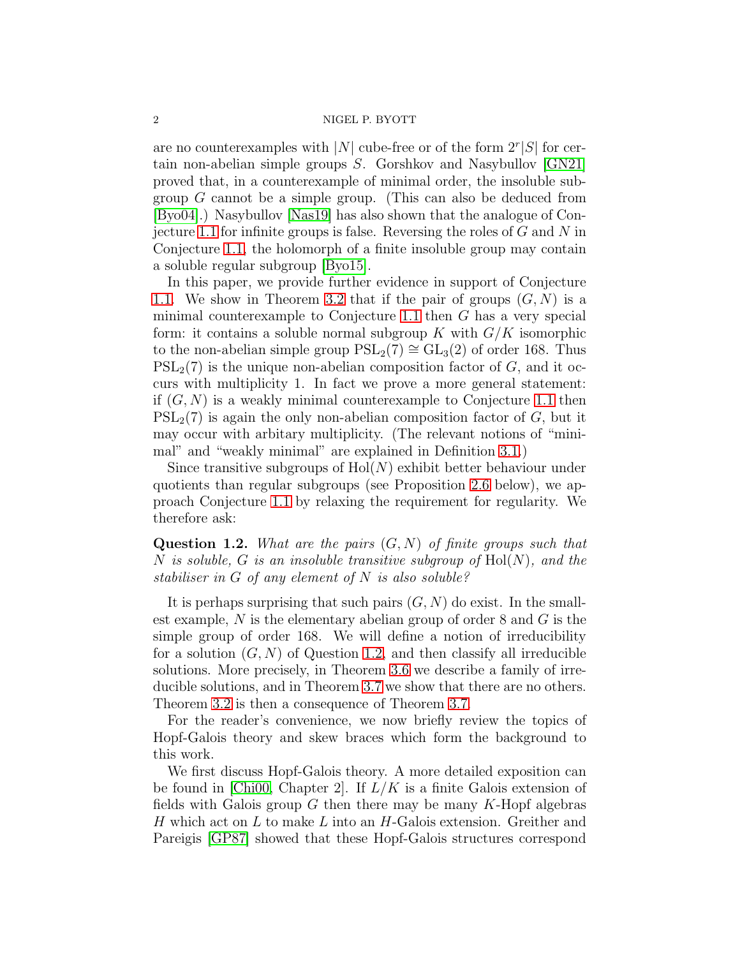are no counterexamples with |N| cube-free or of the form  $2^r|S|$  for certain non-abelian simple groups S. Gorshkov and Nasybullov [\[GN21\]](#page-29-3) proved that, in a counterexample of minimal order, the insoluble subgroup G cannot be a simple group. (This can also be deduced from [\[Byo04\]](#page-29-4).) Nasybullov [\[Nas19\]](#page-29-5) has also shown that the analogue of Con-jecture [1.1](#page-0-0) for infinite groups is false. Reversing the roles of  $G$  and  $N$  in Conjecture [1.1,](#page-0-0) the holomorph of a finite insoluble group may contain a soluble regular subgroup [\[Byo15\]](#page-29-0).

In this paper, we provide further evidence in support of Conjecture [1.1.](#page-0-0) We show in Theorem [3.2](#page-5-0) that if the pair of groups  $(G, N)$  is a minimal counterexample to Conjecture [1.1](#page-0-0) then G has a very special form: it contains a soluble normal subgroup K with  $G/K$  isomorphic to the non-abelian simple group  $PSL_2(7) \cong GL_3(2)$  of order 168. Thus  $PSL<sub>2</sub>(7)$  is the unique non-abelian composition factor of G, and it occurs with multiplicity 1. In fact we prove a more general statement: if  $(G, N)$  is a weakly minimal counterexample to Conjecture [1.1](#page-0-0) then  $PSL_2(7)$  is again the only non-abelian composition factor of G, but it may occur with arbitary multiplicity. (The relevant notions of "minimal" and "weakly minimal" are explained in Definition [3.1.](#page-5-1))

Since transitive subgroups of  $Hol(N)$  exhibit better behaviour under quotients than regular subgroups (see Proposition [2.6](#page-4-0) below), we approach Conjecture [1.1](#page-0-0) by relaxing the requirement for regularity. We therefore ask:

<span id="page-1-0"></span>**Question 1.2.** What are the pairs  $(G, N)$  of finite groups such that N is soluble, G is an insoluble transitive subgroup of  $Hol(N)$ , and the stabiliser in G of any element of N is also soluble?

It is perhaps surprising that such pairs  $(G, N)$  do exist. In the smallest example,  $N$  is the elementary abelian group of order 8 and  $G$  is the simple group of order 168. We will define a notion of irreducibility for a solution  $(G, N)$  of Question [1.2,](#page-1-0) and then classify all irreducible solutions. More precisely, in Theorem [3.6](#page-6-0) we describe a family of irreducible solutions, and in Theorem [3.7](#page-6-1) we show that there are no others. Theorem [3.2](#page-5-0) is then a consequence of Theorem [3.7.](#page-6-1)

For the reader's convenience, we now briefly review the topics of Hopf-Galois theory and skew braces which form the background to this work.

We first discuss Hopf-Galois theory. A more detailed exposition can be found in [\[Chi00,](#page-29-6) Chapter 2]. If  $L/K$  is a finite Galois extension of fields with Galois group  $G$  then there may be many  $K$ -Hopf algebras H which act on  $L$  to make  $L$  into an H-Galois extension. Greither and Pareigis [\[GP87\]](#page-29-7) showed that these Hopf-Galois structures correspond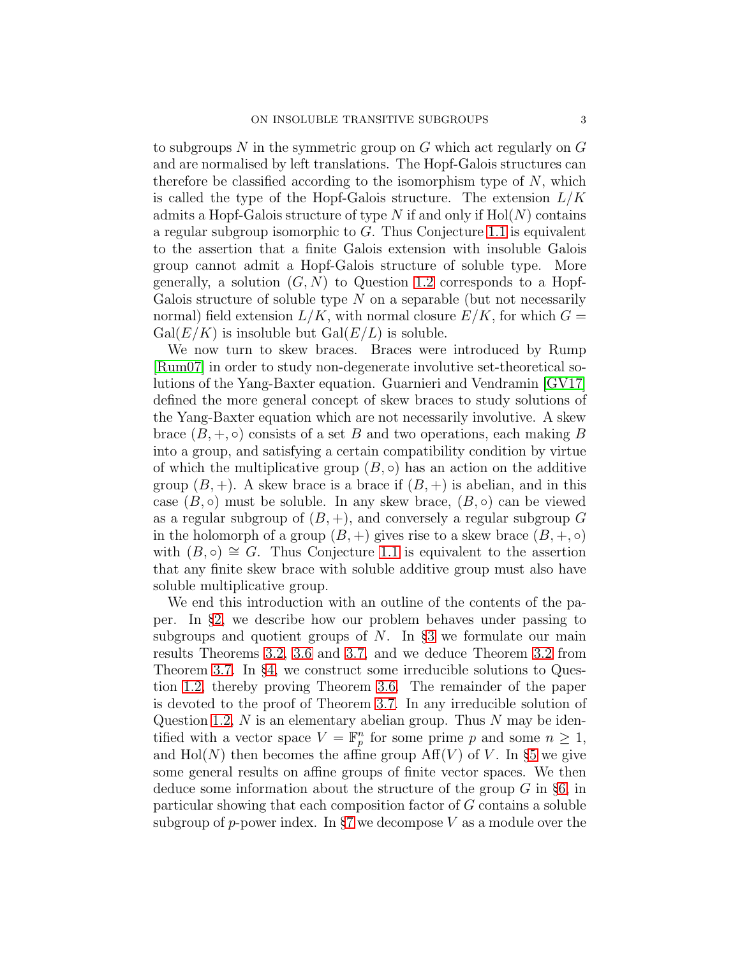to subgroups  $N$  in the symmetric group on  $G$  which act regularly on  $G$ and are normalised by left translations. The Hopf-Galois structures can therefore be classified according to the isomorphism type of  $N$ , which is called the type of the Hopf-Galois structure. The extension  $L/K$ admits a Hopf-Galois structure of type N if and only if  $Hol(N)$  contains a regular subgroup isomorphic to G. Thus Conjecture [1.1](#page-0-0) is equivalent to the assertion that a finite Galois extension with insoluble Galois group cannot admit a Hopf-Galois structure of soluble type. More generally, a solution  $(G, N)$  to Question [1.2](#page-1-0) corresponds to a Hopf-Galois structure of soluble type  $N$  on a separable (but not necessarily normal) field extension  $L/K$ , with normal closure  $E/K$ , for which  $G =$  $Gal(E/K)$  is insoluble but  $Gal(E/L)$  is soluble.

We now turn to skew braces. Braces were introduced by Rump [\[Rum07\]](#page-29-8) in order to study non-degenerate involutive set-theoretical solutions of the Yang-Baxter equation. Guarnieri and Vendramin [\[GV17\]](#page-29-9) defined the more general concept of skew braces to study solutions of the Yang-Baxter equation which are not necessarily involutive. A skew brace  $(B, +, \circ)$  consists of a set B and two operations, each making B into a group, and satisfying a certain compatibility condition by virtue of which the multiplicative group  $(B, \circ)$  has an action on the additive group  $(B, +)$ . A skew brace is a brace if  $(B, +)$  is abelian, and in this case  $(B, \circ)$  must be soluble. In any skew brace,  $(B, \circ)$  can be viewed as a regular subgroup of  $(B, +)$ , and conversely a regular subgroup G in the holomorph of a group  $(B, +)$  gives rise to a skew brace  $(B, +, \circ)$ with  $(B, \circ) \cong G$ . Thus Conjecture [1.1](#page-0-0) is equivalent to the assertion that any finite skew brace with soluble additive group must also have soluble multiplicative group.

We end this introduction with an outline of the contents of the paper. In §[2,](#page-3-0) we describe how our problem behaves under passing to subgroups and quotient groups of  $N$ . In §[3](#page-5-2) we formulate our main results Theorems [3.2,](#page-5-0) [3.6](#page-6-0) and [3.7,](#page-6-1) and we deduce Theorem [3.2](#page-5-0) from Theorem [3.7.](#page-6-1) In §[4,](#page-7-0) we construct some irreducible solutions to Question [1.2,](#page-1-0) thereby proving Theorem [3.6.](#page-6-0) The remainder of the paper is devoted to the proof of Theorem [3.7.](#page-6-1) In any irreducible solution of Question [1.2,](#page-1-0)  $N$  is an elementary abelian group. Thus  $N$  may be identified with a vector space  $V = \mathbb{F}_p^n$  for some prime p and some  $n \geq 1$ , and  $\text{Hol}(N)$  then becomes the affine group  $\text{Aff}(V)$  of V. In §[5](#page-12-0) we give some general results on affine groups of finite vector spaces. We then deduce some information about the structure of the group  $G$  in §[6,](#page-14-0) in particular showing that each composition factor of G contains a soluble subgroup of p-power index. In §[7](#page-17-0) we decompose  $V$  as a module over the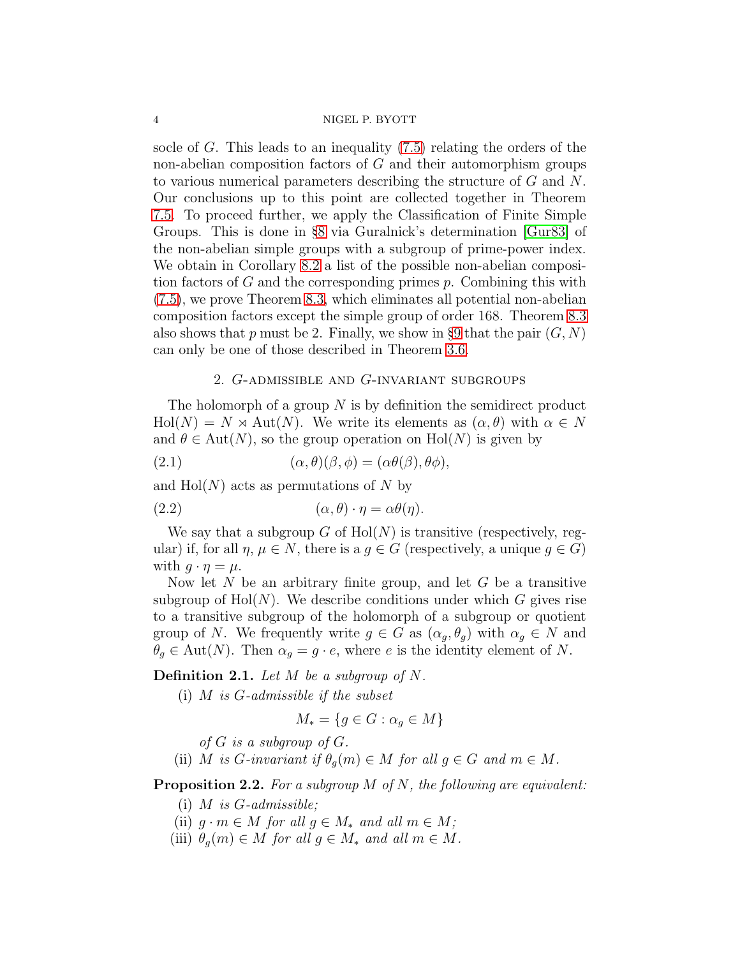socle of G. This leads to an inequality [\(7.5\)](#page-19-0) relating the orders of the non-abelian composition factors of  $G$  and their automorphism groups to various numerical parameters describing the structure of  $G$  and  $N$ . Our conclusions up to this point are collected together in Theorem [7.5.](#page-20-0) To proceed further, we apply the Classification of Finite Simple Groups. This is done in §[8](#page-21-0) via Guralnick's determination [\[Gur83\]](#page-29-10) of the non-abelian simple groups with a subgroup of prime-power index. We obtain in Corollary [8.2](#page-21-1) a list of the possible non-abelian composition factors of G and the corresponding primes  $p$ . Combining this with [\(7.5\)](#page-19-0), we prove Theorem [8.3,](#page-22-0) which eliminates all potential non-abelian composition factors except the simple group of order 168. Theorem [8.3](#page-22-0) also shows that p must be 2. Finally, we show in §[9](#page-24-0) that the pair  $(G, N)$ can only be one of those described in Theorem [3.6.](#page-6-0)

## <span id="page-3-2"></span>2. G-admissible and G-invariant subgroups

<span id="page-3-0"></span>The holomorph of a group  $N$  is by definition the semidirect product  $\text{Hol}(N) = N \rtimes \text{Aut}(N)$ . We write its elements as  $(\alpha, \theta)$  with  $\alpha \in N$ and  $\theta \in \text{Aut}(N)$ , so the group operation on  $\text{Hol}(N)$  is given by

(2.1) 
$$
(\alpha, \theta)(\beta, \phi) = (\alpha \theta(\beta), \theta \phi),
$$

and  $Hol(N)$  acts as permutations of N by

(2.2) 
$$
(\alpha, \theta) \cdot \eta = \alpha \theta(\eta).
$$

We say that a subgroup G of  $Hol(N)$  is transitive (respectively, regular) if, for all  $\eta, \mu \in N$ , there is a  $g \in G$  (respectively, a unique  $g \in G$ ) with  $q \cdot \eta = \mu$ .

Now let  $N$  be an arbitrary finite group, and let  $G$  be a transitive subgroup of  $Hol(N)$ . We describe conditions under which G gives rise to a transitive subgroup of the holomorph of a subgroup or quotient group of N. We frequently write  $g \in G$  as  $(\alpha_q, \theta_q)$  with  $\alpha_q \in N$  and  $\theta_q \in \text{Aut}(N)$ . Then  $\alpha_q = g \cdot e$ , where e is the identity element of N.

**Definition 2.1.** Let  $M$  be a subgroup of  $N$ .

(i)  $M$  is  $G$ -admissible if the subset

$$
M_* = \{ g \in G : \alpha_g \in M \}
$$

of  $G$  is a subgroup of  $G$ .

(ii) M is G-invariant if  $\theta_o(m) \in M$  for all  $g \in G$  and  $m \in M$ .

<span id="page-3-1"></span>**Proposition 2.2.** For a subgroup  $M$  of  $N$ , the following are equivalent:

- (i)  $M$  is  $G$ -admissible;
- (ii)  $q \cdot m \in M$  for all  $q \in M_*$  and all  $m \in M$ ;
- (iii)  $\theta_g(m) \in M$  for all  $g \in M_*$  and all  $m \in M$ .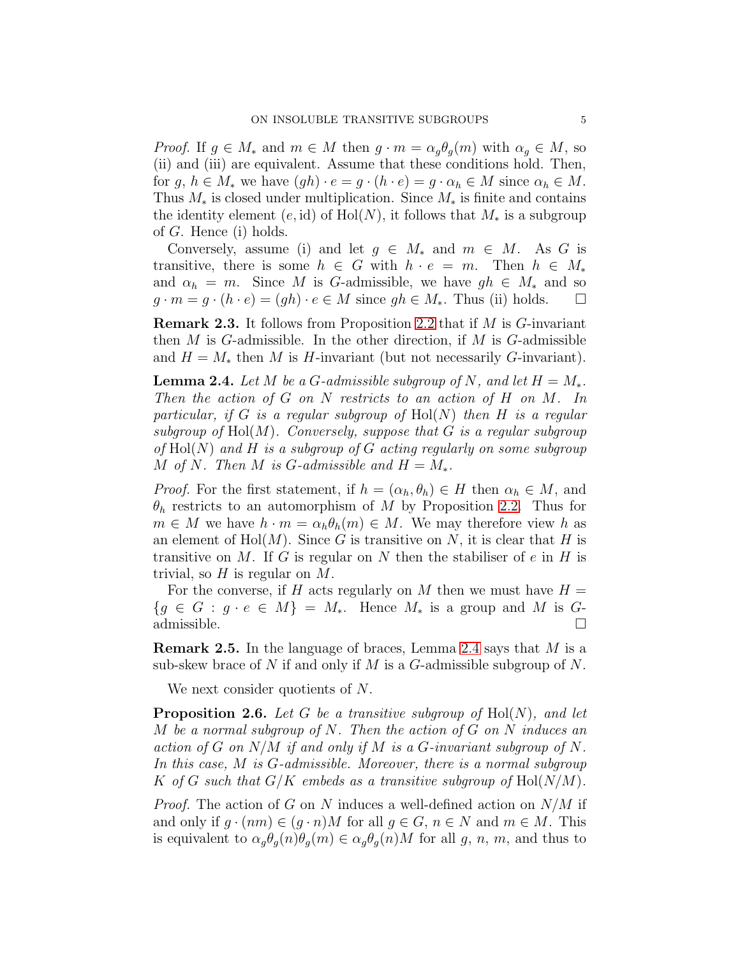*Proof.* If  $g \in M_*$  and  $m \in M$  then  $g \cdot m = \alpha_q \theta_q(m)$  with  $\alpha_q \in M$ , so (ii) and (iii) are equivalent. Assume that these conditions hold. Then, for  $g, h \in M_*$  we have  $(gh) \cdot e = g \cdot (h \cdot e) = g \cdot \alpha_h \in M$  since  $\alpha_h \in M$ . Thus  $M_*$  is closed under multiplication. Since  $M_*$  is finite and contains the identity element  $(e, id)$  of  $Hol(N)$ , it follows that  $M_*$  is a subgroup of G. Hence (i) holds.

Conversely, assume (i) and let  $g \in M_*$  and  $m \in M$ . As G is transitive, there is some  $h \in G$  with  $h \cdot e = m$ . Then  $h \in M_*$ and  $\alpha_h = m$ . Since M is G-admissible, we have  $gh \in M_*$  and so  $q \cdot m = q \cdot (h \cdot e) = (qh) \cdot e \in M$  since  $qh \in M_*$ . Thus (ii) holds.  $\square$ 

<span id="page-4-2"></span>Remark 2.3. It follows from Proposition [2.2](#page-3-1) that if M is G-invariant then  $M$  is  $G$ -admissible. In the other direction, if  $M$  is  $G$ -admissible and  $H = M_*$  then M is H-invariant (but not necessarily G-invariant).

<span id="page-4-1"></span>**Lemma 2.4.** Let M be a G-admissible subgroup of N, and let  $H = M_*$ . Then the action of  $G$  on  $N$  restricts to an action of  $H$  on  $M$ . In particular, if G is a regular subgroup of  $Hol(N)$  then H is a regular subgroup of  $Hol(M)$ . Conversely, suppose that G is a regular subgroup of  $Hol(N)$  and H is a subgroup of G acting regularly on some subgroup M of N. Then M is G-admissible and  $H = M_*$ .

*Proof.* For the first statement, if  $h = (\alpha_h, \theta_h) \in H$  then  $\alpha_h \in M$ , and  $\theta_h$  restricts to an automorphism of M by Proposition [2.2.](#page-3-1) Thus for  $m \in M$  we have  $h \cdot m = \alpha_h \theta_h(m) \in M$ . We may therefore view h as an element of  $Hol(M)$ . Since G is transitive on N, it is clear that H is transitive on  $M$ . If G is regular on  $N$  then the stabiliser of  $e$  in  $H$  is trivial, so  $H$  is regular on  $M$ .

For the converse, if H acts regularly on M then we must have  $H =$  ${g \in G : g \cdot e \in M} = M_*$ . Hence  $M_*$  is a group and M is Gadmissible.  $\square$ 

Remark 2.5. In the language of braces, Lemma [2.4](#page-4-1) says that M is a sub-skew brace of N if and only if M is a G-admissible subgroup of N.

We next consider quotients of N.

<span id="page-4-0"></span>**Proposition 2.6.** Let G be a transitive subgroup of  $Hol(N)$ , and let M be a normal subgroup of N. Then the action of  $G$  on  $N$  induces an action of G on  $N/M$  if and only if M is a G-invariant subgroup of N. In this case, M is G-admissible. Moreover, there is a normal subgroup K of G such that  $G/K$  embeds as a transitive subgroup of  $Hol(N/M)$ .

*Proof.* The action of G on N induces a well-defined action on  $N/M$  if and only if  $g \cdot (nm) \in (g \cdot n)M$  for all  $g \in G$ ,  $n \in N$  and  $m \in M$ . This is equivalent to  $\alpha_q \theta_q(n) \theta_q(m) \in \alpha_q \theta_q(n) M$  for all g, n, m, and thus to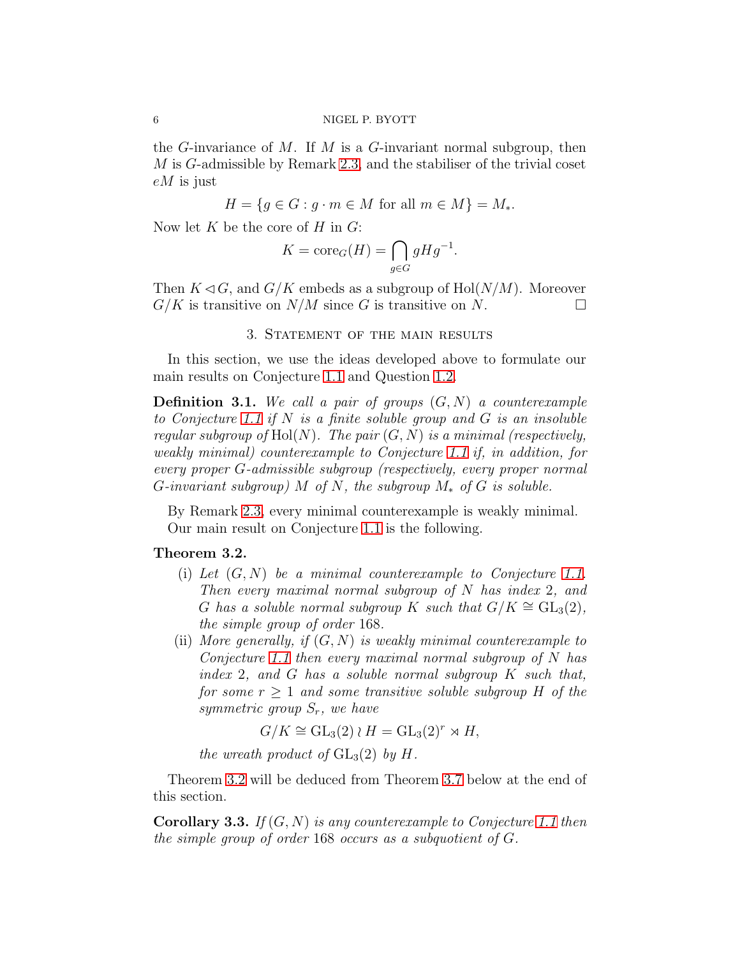the G-invariance of M. If M is a G-invariant normal subgroup, then M is G-admissible by Remark [2.3,](#page-4-2) and the stabiliser of the trivial coset eM is just

$$
H = \{ g \in G : g \cdot m \in M \text{ for all } m \in M \} = M_*.
$$

Now let K be the core of H in  $G$ :

$$
K = \operatorname{core}_G(H) = \bigcap_{g \in G} gHg^{-1}.
$$

<span id="page-5-2"></span>Then  $K \triangleleft G$ , and  $G/K$  embeds as a subgroup of  $Hol(N/M)$ . Moreover  $G/K$  is transitive on  $N/M$  since G is transitive on N.

## 3. Statement of the main results

In this section, we use the ideas developed above to formulate our main results on Conjecture [1.1](#page-0-0) and Question [1.2.](#page-1-0)

<span id="page-5-1"></span>**Definition 3.1.** We call a pair of groups  $(G, N)$  a counterexample to Conjecture [1.1](#page-0-0) if  $N$  is a finite soluble group and  $G$  is an insoluble regular subgroup of  $Hol(N)$ . The pair  $(G, N)$  is a minimal (respectively, weakly minimal) counterexample to Conjecture [1.1](#page-0-0) if, in addition, for every proper G-admissible subgroup (respectively, every proper normal G-invariant subgroup) M of N, the subgroup  $M_*$  of G is soluble.

By Remark [2.3,](#page-4-2) every minimal counterexample is weakly minimal. Our main result on Conjecture [1.1](#page-0-0) is the following.

## <span id="page-5-0"></span>Theorem 3.2.

- (i) Let  $(G, N)$  be a minimal counterexample to Conjecture [1.1.](#page-0-0) Then every maximal normal subgroup of  $N$  has index 2, and G has a soluble normal subgroup K such that  $G/K \cong GL_3(2)$ , the simple group of order 168.
- (ii) More generally, if  $(G, N)$  is weakly minimal counterexample to Conjecture [1.1](#page-0-0) then every maximal normal subgroup of  $N$  has index 2, and G has a soluble normal subgroup K such that, for some  $r \geq 1$  and some transitive soluble subgroup H of the symmetric group  $S_r$ , we have

 $G/K \cong GL_3(2) \wr H = GL_3(2)^r \rtimes H$ ,

the wreath product of  $GL_3(2)$  by H.

Theorem [3.2](#page-5-0) will be deduced from Theorem [3.7](#page-6-1) below at the end of this section.

**Corollary 3.3.** If  $(G, N)$  is any counterexample to Conjecture [1.1](#page-0-0) then the simple group of order 168 occurs as a subquotient of G.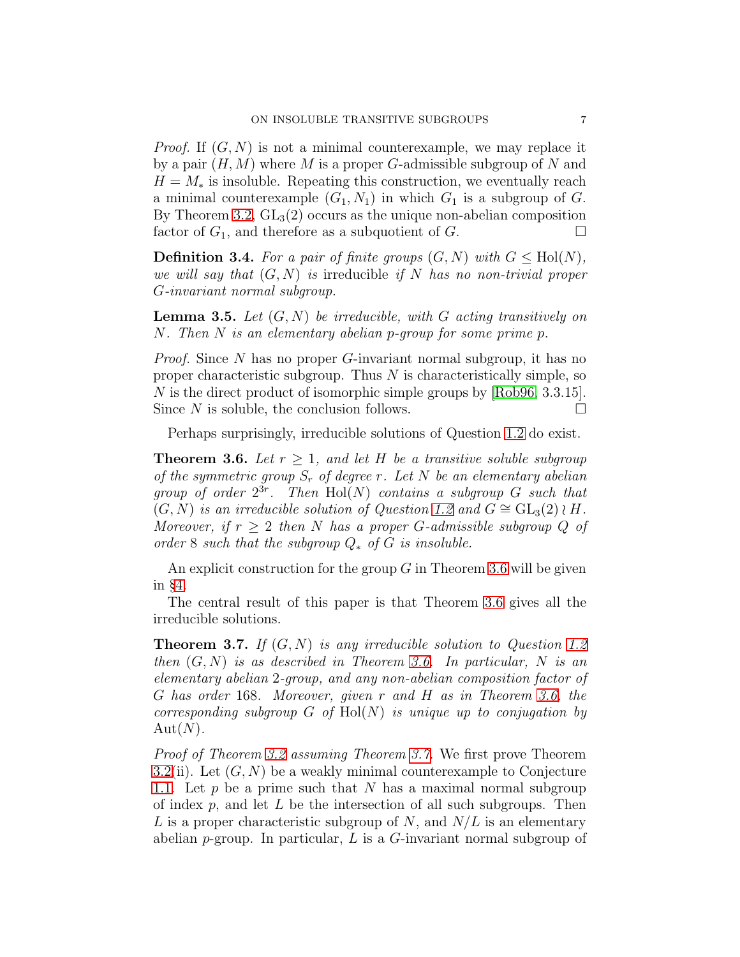*Proof.* If  $(G, N)$  is not a minimal counterexample, we may replace it by a pair  $(H, M)$  where M is a proper G-admissible subgroup of N and  $H = M_*$  is insoluble. Repeating this construction, we eventually reach a minimal counterexample  $(G_1, N_1)$  in which  $G_1$  is a subgroup of  $G$ . By Theorem [3.2,](#page-5-0)  $GL_3(2)$  occurs as the unique non-abelian composition factor of  $G_1$ , and therefore as a subquotient of  $G$ .

<span id="page-6-3"></span>**Definition 3.4.** For a pair of finite groups  $(G, N)$  with  $G \leq Hol(N)$ , we will say that  $(G, N)$  is irreducible if N has no non-trivial proper G-invariant normal subgroup.

<span id="page-6-2"></span>**Lemma 3.5.** Let  $(G, N)$  be irreducible, with G acting transitively on N. Then N is an elementary abelian p-group for some prime p.

*Proof.* Since N has no proper G-invariant normal subgroup, it has no proper characteristic subgroup. Thus  $N$  is characteristically simple, so N is the direct product of isomorphic simple groups by [\[Rob96,](#page-29-11) 3.3.15]. Since N is soluble, the conclusion follows.  $\Box$ 

Perhaps surprisingly, irreducible solutions of Question [1.2](#page-1-0) do exist.

<span id="page-6-0"></span>**Theorem 3.6.** Let  $r \geq 1$ , and let H be a transitive soluble subgroup of the symmetric group  $S_r$  of degree r. Let N be an elementary abelian group of order  $2^{3r}$ . Then Hol(N) contains a subgroup G such that  $(G, N)$  is an irreducible solution of Question [1.2](#page-1-0) and  $G \cong GL_3(2) \wr H$ . Moreover, if  $r \geq 2$  then N has a proper G-admissible subgroup Q of order 8 such that the subgroup  $Q_*$  of G is insoluble.

An explicit construction for the group  $G$  in Theorem [3.6](#page-6-0) will be given in §[4.](#page-7-0)

The central result of this paper is that Theorem [3.6](#page-6-0) gives all the irreducible solutions.

<span id="page-6-1"></span>**Theorem 3.7.** If  $(G, N)$  is any irreducible solution to Question [1.2](#page-1-0) then  $(G, N)$  is as described in Theorem [3.6.](#page-6-0) In particular, N is an elementary abelian 2-group, and any non-abelian composition factor of G has order 168. Moreover, given r and H as in Theorem [3.6,](#page-6-0) the corresponding subgroup  $G$  of  $Hol(N)$  is unique up to conjugation by  $Aut(N).$ 

Proof of Theorem [3.2](#page-5-0) assuming Theorem [3.7.](#page-6-1) We first prove Theorem [3.2\(](#page-5-0)ii). Let  $(G, N)$  be a weakly minimal counterexample to Conjecture [1.1.](#page-0-0) Let  $p$  be a prime such that N has a maximal normal subgroup of index  $p$ , and let  $L$  be the intersection of all such subgroups. Then L is a proper characteristic subgroup of N, and  $N/L$  is an elementary abelian p-group. In particular,  $L$  is a  $G$ -invariant normal subgroup of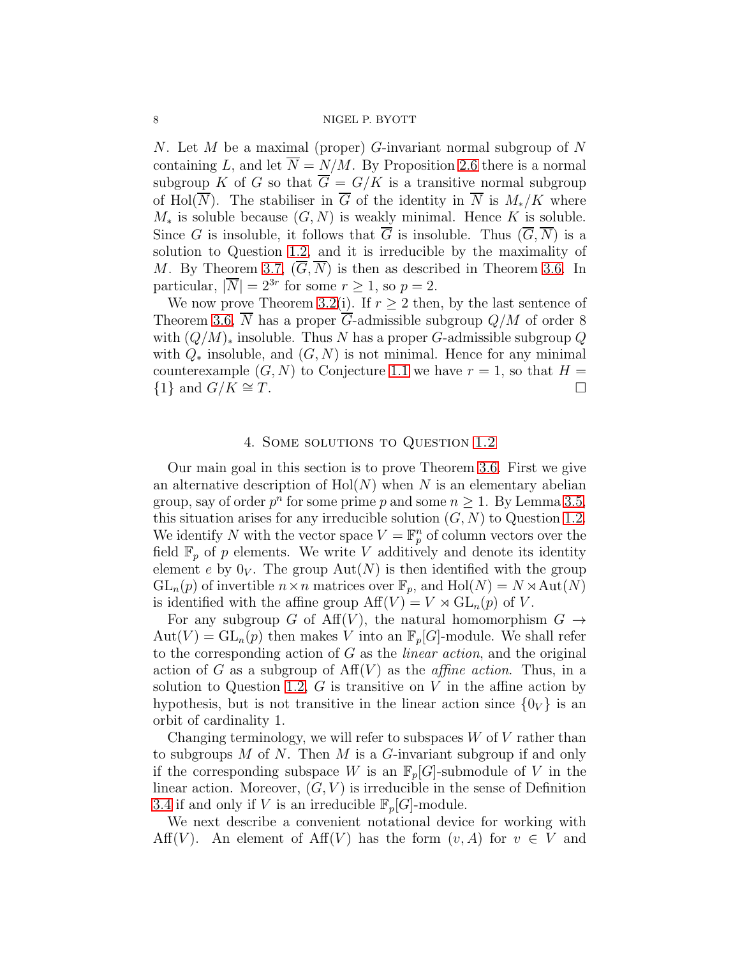N. Let M be a maximal (proper) G-invariant normal subgroup of  $N$ containing L, and let  $\overline{N} = N/M$ . By Proposition [2.6](#page-4-0) there is a normal subgroup K of G so that  $\overline{G} = G/K$  is a transitive normal subgroup of Hol( $\overline{N}$ ). The stabiliser in  $\overline{G}$  of the identity in  $\overline{N}$  is  $M_*/K$  where  $M_*$  is soluble because  $(G, N)$  is weakly minimal. Hence K is soluble. Since G is insoluble, it follows that  $\overline{G}$  is insoluble. Thus  $(\overline{G}, \overline{N})$  is a solution to Question [1.2,](#page-1-0) and it is irreducible by the maximality of M. By Theorem [3.7,](#page-6-1)  $(G, N)$  is then as described in Theorem [3.6.](#page-6-0) In particular,  $|\overline{N}| = 2^{3r}$  for some  $r \ge 1$ , so  $p = 2$ .

We now prove Theorem [3.2\(](#page-5-0)i). If  $r \geq 2$  then, by the last sentence of Theorem [3.6,](#page-6-0)  $\overline{N}$  has a proper  $\overline{G}$ -admissible subgroup  $Q/M$  of order 8 with  $(Q/M)_*$  insoluble. Thus N has a proper G-admissible subgroup Q with  $Q_*$  insoluble, and  $(G, N)$  is not minimal. Hence for any minimal counterexample  $(G, N)$  to Conjecture [1.1](#page-0-0) we have  $r = 1$ , so that  $H =$  $\{1\}$  and  $G/K \cong T$ .

## 4. Some solutions to Question [1.2](#page-1-0)

<span id="page-7-0"></span>Our main goal in this section is to prove Theorem [3.6.](#page-6-0) First we give an alternative description of  $Hol(N)$  when N is an elementary abelian group, say of order  $p^n$  for some prime p and some  $n \geq 1$ . By Lemma [3.5,](#page-6-2) this situation arises for any irreducible solution  $(G, N)$  to Question [1.2.](#page-1-0) We identify N with the vector space  $V = \mathbb{F}_p^n$  of column vectors over the field  $\mathbb{F}_p$  of p elements. We write V additively and denote its identity element e by  $0_V$ . The group  $Aut(N)$  is then identified with the group  $GL_n(p)$  of invertible  $n \times n$  matrices over  $\mathbb{F}_p$ , and  $Hol(N) = N \rtimes Aut(N)$ is identified with the affine group  $\text{Aff}(V) = V \rtimes \text{GL}_n(p)$  of V.

For any subgroup G of Aff(V), the natural homomorphism  $G \rightarrow$  $Aut(V) = GL_n(p)$  then makes V into an  $\mathbb{F}_p[G]$ -module. We shall refer to the corresponding action of G as the linear action, and the original action of G as a subgroup of  $\text{Aff}(V)$  as the *affine action*. Thus, in a solution to Question [1.2,](#page-1-0)  $G$  is transitive on  $V$  in the affine action by hypothesis, but is not transitive in the linear action since  $\{0_V\}$  is an orbit of cardinality 1.

Changing terminology, we will refer to subspaces  $W$  of  $V$  rather than to subgroups  $M$  of  $N$ . Then  $M$  is a  $G$ -invariant subgroup if and only if the corresponding subspace W is an  $\mathbb{F}_p[G]$ -submodule of V in the linear action. Moreover,  $(G, V)$  is irreducible in the sense of Definition [3.4](#page-6-3) if and only if V is an irreducible  $\mathbb{F}_p[G]$ -module.

We next describe a convenient notational device for working with Aff(V). An element of Aff(V) has the form  $(v, A)$  for  $v \in V$  and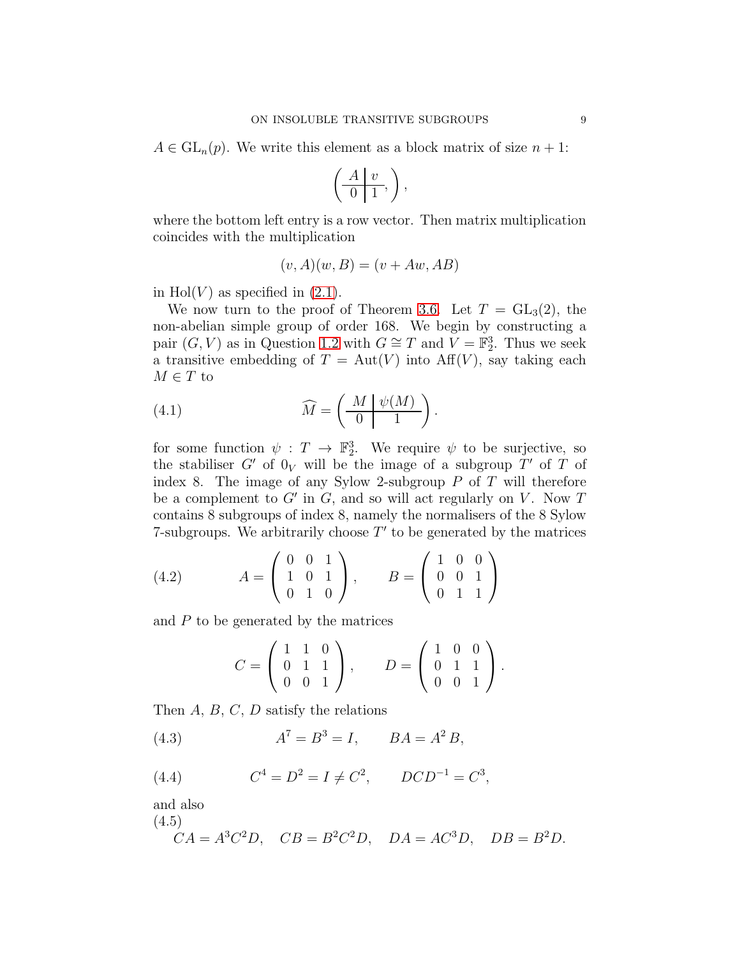$A \in GL_n(p)$ . We write this element as a block matrix of size  $n + 1$ :

$$
\left(\begin{array}{c|c} A & v \\ \hline 0 & 1 \end{array}\right),
$$

where the bottom left entry is a row vector. Then matrix multiplication coincides with the multiplication

<span id="page-8-3"></span>
$$
(v, A)(w, B) = (v + Aw, AB)
$$

in Hol $(V)$  as specified in  $(2.1)$ .

We now turn to the proof of Theorem [3.6.](#page-6-0) Let  $T = GL_3(2)$ , the non-abelian simple group of order 168. We begin by constructing a pair  $(G, V)$  as in Question [1.2](#page-1-0) with  $G \cong T$  and  $\widetilde{V} = \mathbb{F}_2^3$ . Thus we seek a transitive embedding of  $T = Aut(V)$  into  $Aff(V)$ , say taking each  $M \in T$  to

(4.1) 
$$
\widehat{M} = \left(\begin{array}{c|c} M & \psi(M) \\ \hline 0 & 1 \end{array}\right).
$$

for some function  $\psi : T \to \mathbb{F}_2^3$ . We require  $\psi$  to be surjective, so the stabiliser  $G'$  of  $0_V$  will be the image of a subgroup  $T'$  of  $T$  of index 8. The image of any Sylow 2-subgroup  $P$  of  $T$  will therefore be a complement to  $G'$  in  $G$ , and so will act regularly on  $V$ . Now  $T$ contains 8 subgroups of index 8, namely the normalisers of the 8 Sylow 7-subgroups. We arbitrarily choose  $T'$  to be generated by the matrices

(4.2) 
$$
A = \begin{pmatrix} 0 & 0 & 1 \\ 1 & 0 & 1 \\ 0 & 1 & 0 \end{pmatrix}, \qquad B = \begin{pmatrix} 1 & 0 & 0 \\ 0 & 0 & 1 \\ 0 & 1 & 1 \end{pmatrix}
$$

and  $P$  to be generated by the matrices

<span id="page-8-4"></span><span id="page-8-0"></span>
$$
C = \left(\begin{array}{rrr} 1 & 1 & 0 \\ 0 & 1 & 1 \\ 0 & 0 & 1 \end{array}\right), \qquad D = \left(\begin{array}{rrr} 1 & 0 & 0 \\ 0 & 1 & 1 \\ 0 & 0 & 1 \end{array}\right).
$$

Then  $A, B, C, D$  satisfy the relations

(4.3) 
$$
A^7 = B^3 = I, \qquad BA = A^2 B,
$$

<span id="page-8-1"></span>(4.4) 
$$
C^4 = D^2 = I \neq C^2, \qquad DCD^{-1} = C^3,
$$

and also

(4.5)

<span id="page-8-2"></span>
$$
CA = A3C2D, \quad CB = B2C2D, \quad DA = AC3D, \quad DB = B2D.
$$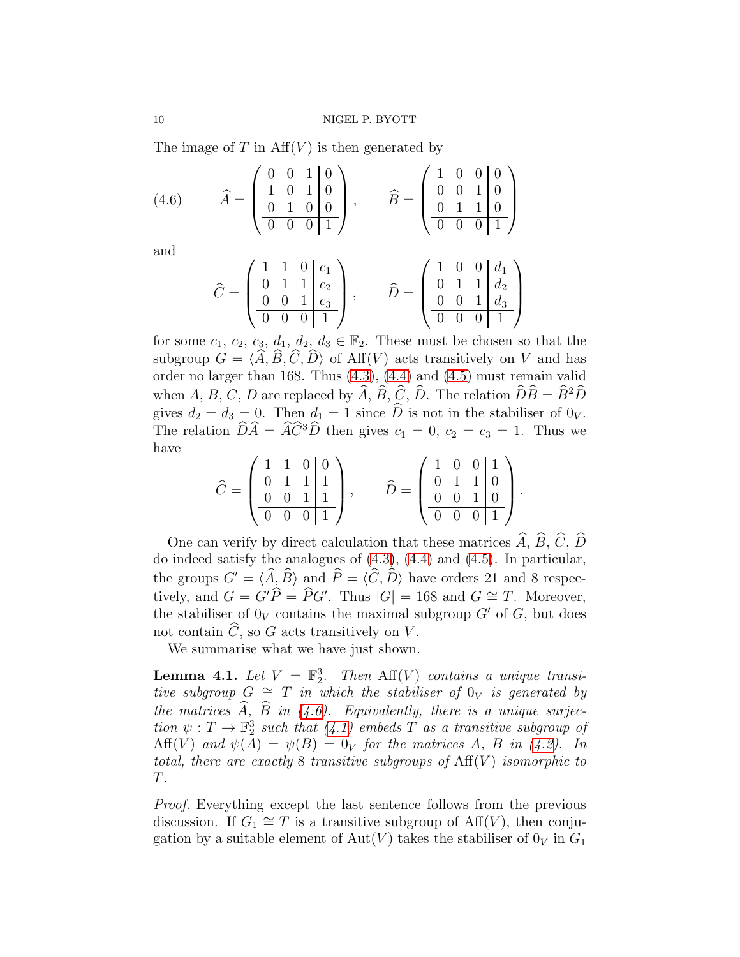The image of T in  $Aff(V)$  is then generated by

(4.6) 
$$
\hat{A} = \begin{pmatrix} 0 & 0 & 1 & 0 \ 1 & 0 & 1 & 0 \ 0 & 1 & 0 & 0 \ \hline 0 & 0 & 0 & 1 \end{pmatrix}, \qquad \hat{B} = \begin{pmatrix} 1 & 0 & 0 & 0 \ 0 & 0 & 1 & 0 \ 0 & 1 & 1 & 0 \ \hline 0 & 0 & 0 & 1 \end{pmatrix}
$$

and

<span id="page-9-0"></span>
$$
\widehat{C} = \begin{pmatrix} 1 & 1 & 0 & c_1 \\ 0 & 1 & 1 & c_2 \\ 0 & 0 & 1 & c_3 \\ \hline 0 & 0 & 0 & 1 \end{pmatrix}, \qquad \widehat{D} = \begin{pmatrix} 1 & 0 & 0 & d_1 \\ 0 & 1 & 1 & d_2 \\ 0 & 0 & 1 & d_3 \\ \hline 0 & 0 & 0 & 1 \end{pmatrix}
$$

for some  $c_1, c_2, c_3, d_1, d_2, d_3 \in \mathbb{F}_2$ . These must be chosen so that the subgroup  $G = \langle \hat{A}, \hat{B}, \hat{C}, \hat{D} \rangle$  of Aff(V) acts transitively on V and has order no larger than 168. Thus [\(4.3\)](#page-8-0), [\(4.4\)](#page-8-1) and [\(4.5\)](#page-8-2) must remain valid when A, B, C, D are replaced by  $\widehat{A}$ ,  $\widehat{B}$ ,  $\widehat{C}$ ,  $\widehat{D}$ . The relation  $\widehat{D}\widehat{B} = \widehat{B}^2\widehat{D}$ gives  $d_2 = d_3 = 0$ . Then  $d_1 = 1$  since  $\widehat{D}$  is not in the stabiliser of  $0_V$ . The relation  $\widehat{D}\widehat{A} = \widehat{A}\widehat{C}^3\widehat{D}$  then gives  $c_1 = 0, c_2 = c_3 = 1$ . Thus we have

$$
\widehat{C} = \begin{pmatrix} 1 & 1 & 0 & 0 \\ 0 & 1 & 1 & 1 \\ 0 & 0 & 1 & 1 \\ \hline 0 & 0 & 0 & 1 \end{pmatrix}, \qquad \widehat{D} = \begin{pmatrix} 1 & 0 & 0 & 1 \\ 0 & 1 & 1 & 0 \\ 0 & 0 & 1 & 0 \\ \hline 0 & 0 & 0 & 1 \end{pmatrix}.
$$

One can verify by direct calculation that these matrices  $\widehat{A}$ ,  $\widehat{B}$ ,  $\widehat{C}$ ,  $\widehat{D}$ do indeed satisfy the analogues of [\(4.3\)](#page-8-0), [\(4.4\)](#page-8-1) and [\(4.5\)](#page-8-2). In particular, the groups  $G' = \langle \widehat{A}, \widehat{B} \rangle$  and  $\widehat{P} = \langle \widehat{C}, \widehat{D} \rangle$  have orders 21 and 8 respectively, and  $G = G'\widehat{P} = \widehat{P}G'$ . Thus  $|G| = 168$  and  $G \cong T$ . Moreover, the stabiliser of  $0_V$  contains the maximal subgroup  $G'$  of  $G$ , but does not contain  $\widehat{C}$ , so G acts transitively on V.

We summarise what we have just shown.

<span id="page-9-1"></span>**Lemma 4.1.** Let  $V = \mathbb{F}_2^3$ . Then  $\text{Aff}(V)$  contains a unique transitive subgroup  $G \cong T$  in which the stabiliser of  $0_V$  is generated by the matrices  $\widehat{A}$ ,  $\widehat{B}$  in [\(4.6\)](#page-9-0). Equivalently, there is a unique surjection  $\psi: T \to \mathbb{F}_2^3$  such that  $(4.1)$  embeds T as a transitive subgroup of Aff(V) and  $\psi(A) = \psi(B) = 0_V$  for the matrices A, B in [\(4.2\)](#page-8-4). In total, there are exactly 8 transitive subgroups of  $\text{Aff}(V)$  isomorphic to T.

Proof. Everything except the last sentence follows from the previous discussion. If  $G_1 \cong T$  is a transitive subgroup of  $\text{Aff}(V)$ , then conjugation by a suitable element of Aut(V) takes the stabiliser of  $0_V$  in  $G_1$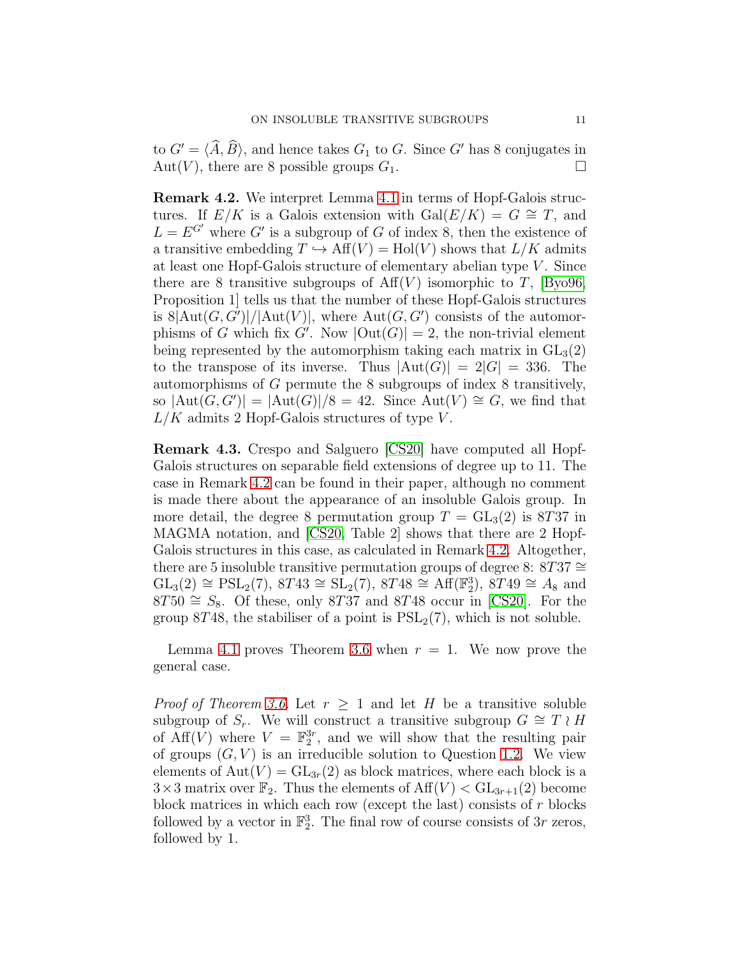to  $G' = \langle \widehat{A}, \widehat{B} \rangle$ , and hence takes  $G_1$  to G. Since G' has 8 conjugates in Aut(V), there are 8 possible groups  $G_1$ . Aut(V), there are 8 possible groups  $G_1$ .

<span id="page-10-0"></span>Remark 4.2. We interpret Lemma [4.1](#page-9-1) in terms of Hopf-Galois structures. If  $E/K$  is a Galois extension with  $Gal(E/K) = G \cong T$ , and  $L = E^{G'}$  where G' is a subgroup of G of index 8, then the existence of a transitive embedding  $T \hookrightarrow Aff(V) = Hol(V)$  shows that  $L/K$  admits at least one Hopf-Galois structure of elementary abelian type  $V$ . Since there are 8 transitive subgroups of  $Aff(V)$  isomorphic to T, [\[Byo96,](#page-28-0) Proposition 1] tells us that the number of these Hopf-Galois structures is  $8|\text{Aut}(G, G')|/|\text{Aut}(V)|$ , where  $\text{Aut}(G, G')$  consists of the automorphisms of G which fix G'. Now  $|\text{Out}(G)| = 2$ , the non-trivial element being represented by the automorphism taking each matrix in  $GL_3(2)$ to the transpose of its inverse. Thus  $|\text{Aut}(G)| = 2|G| = 336$ . The automorphisms of G permute the 8 subgroups of index 8 transitively, so  $|\text{Aut}(G, G')| = |\text{Aut}(G)|/8 = 42$ . Since  $\text{Aut}(V) \cong G$ , we find that  $L/K$  admits 2 Hopf-Galois structures of type V.

Remark 4.3. Crespo and Salguero [\[CS20\]](#page-29-12) have computed all Hopf-Galois structures on separable field extensions of degree up to 11. The case in Remark [4.2](#page-10-0) can be found in their paper, although no comment is made there about the appearance of an insoluble Galois group. In more detail, the degree 8 permutation group  $T = GL_3(2)$  is 8T37 in MAGMA notation, and [\[CS20,](#page-29-12) Table 2] shows that there are 2 Hopf-Galois structures in this case, as calculated in Remark [4.2.](#page-10-0) Altogether, there are 5 insoluble transitive permutation groups of degree 8: 8T37  $\cong$  $GL_3(2) \cong PSL_2(7)$ ,  $8T43 \cong SL_2(7)$ ,  $8T48 \cong Aff(F_2^3)$ ,  $8T49 \cong A_8$  and  $8T50 \cong S_8$ . Of these, only 8T37 and 8T48 occur in [\[CS20\]](#page-29-12). For the group 8T48, the stabiliser of a point is  $PSL<sub>2</sub>(7)$ , which is not soluble.

Lemma [4.1](#page-9-1) proves Theorem [3.6](#page-6-0) when  $r = 1$ . We now prove the general case.

*Proof of Theorem [3.6.](#page-6-0)* Let  $r \geq 1$  and let H be a transitive soluble subgroup of  $S_r$ . We will construct a transitive subgroup  $G \cong T \wr H$ of  $\widehat{Aff}(V)$  where  $V = \mathbb{F}_2^{3r}$ , and we will show that the resulting pair of groups  $(G, V)$  is an irreducible solution to Question [1.2.](#page-1-0) We view elements of  $Aut(V) = GL_{3r}(2)$  as block matrices, where each block is a  $3\times3$  matrix over  $\mathbb{F}_2$ . Thus the elements of  $\text{Aff}(V) < \text{GL}_{3r+1}(2)$  become block matrices in which each row (except the last) consists of  $r$  blocks followed by a vector in  $\mathbb{F}_2^3$ . The final row of course consists of  $3r$  zeros, followed by 1.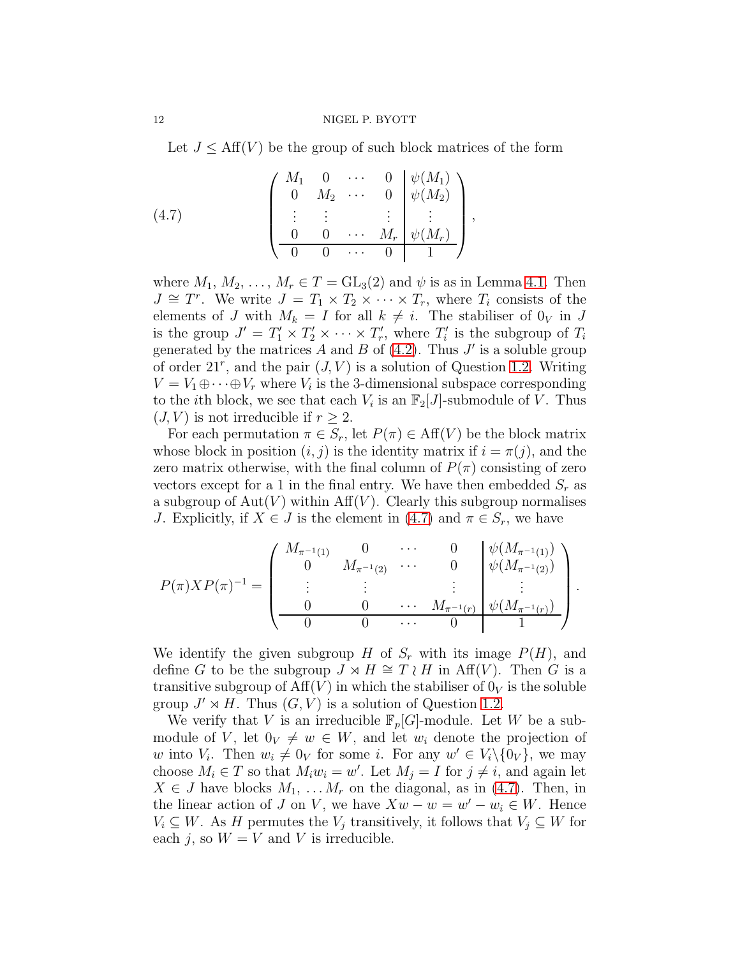Let  $J \leq Aff(V)$  be the group of such block matrices of the form

<span id="page-11-0"></span>(4.7) 
$$
\begin{pmatrix} M_1 & 0 & \cdots & 0 & \psi(M_1) \\ 0 & M_2 & \cdots & 0 & \psi(M_2) \\ \vdots & \vdots & & \vdots & \vdots \\ 0 & 0 & \cdots & M_r & \psi(M_r) \\ \hline 0 & 0 & \cdots & 0 & 1 \end{pmatrix},
$$

where  $M_1, M_2, \ldots, M_r \in T = GL_3(2)$  and  $\psi$  is as in Lemma [4.1.](#page-9-1) Then  $J \cong T^r$ . We write  $J = T_1 \times T_2 \times \cdots \times T_r$ , where  $T_i$  consists of the elements of J with  $M_k = I$  for all  $k \neq i$ . The stabiliser of  $0_V$  in J is the group  $J' = T'_1 \times T'_2 \times \cdots \times T'_r$ , where  $T'_i$  is the subgroup of  $T_i$ generated by the matrices  $A$  and  $B$  of [\(4.2\)](#page-8-4). Thus  $J'$  is a soluble group of order  $21^r$ , and the pair  $(J, V)$  is a solution of Question [1.2.](#page-1-0) Writing  $V = V_1 \oplus \cdots \oplus V_r$  where  $V_i$  is the 3-dimensional subspace corresponding to the *i*th block, we see that each  $V_i$  is an  $\mathbb{F}_2[J]$ -submodule of  $\overline{V}$ . Thus  $(J, V)$  is not irreducible if  $r \geq 2$ .

For each permutation  $\pi \in S_r$ , let  $P(\pi) \in \text{Aff}(V)$  be the block matrix whose block in position  $(i, j)$  is the identity matrix if  $i = \pi(j)$ , and the zero matrix otherwise, with the final column of  $P(\pi)$  consisting of zero vectors except for a 1 in the final entry. We have then embedded  $S_r$  as a subgroup of  $Aut(V)$  within  $Aff(V)$ . Clearly this subgroup normalises J. Explicitly, if  $X \in J$  is the element in [\(4.7\)](#page-11-0) and  $\pi \in S_r$ , we have

$$
P(\pi)XP(\pi)^{-1} = \begin{pmatrix} M_{\pi^{-1}(1)} & 0 & \cdots & 0 \\ 0 & M_{\pi^{-1}(2)} & \cdots & 0 & \psi(M_{\pi^{-1}(1)}) \\ \vdots & \vdots & & \vdots & \vdots \\ 0 & 0 & \cdots & M_{\pi^{-1}(r)} & \psi(M_{\pi^{-1}(r)}) \\ \hline 0 & 0 & \cdots & 0 & 1 \end{pmatrix}.
$$

We identify the given subgroup H of  $S_r$  with its image  $P(H)$ , and define G to be the subgroup  $J \rtimes H \cong T \wr H$  in Aff(V). Then G is a transitive subgroup of  $\text{Aff}(V)$  in which the stabiliser of  $0_V$  is the soluble group  $J' \rtimes H$ . Thus  $(G, V)$  is a solution of Question [1.2.](#page-1-0)

We verify that V is an irreducible  $\mathbb{F}_p[G]$ -module. Let W be a submodule of V, let  $0_V \neq w \in W$ , and let  $w_i$  denote the projection of w into  $V_i$ . Then  $w_i \neq 0_V$  for some i. For any  $w' \in V_i \setminus \{0_V\}$ , we may choose  $M_i \in T$  so that  $M_i w_i = w'$ . Let  $M_j = I$  for  $j \neq i$ , and again let  $X \in J$  have blocks  $M_1, \ldots, M_r$  on the diagonal, as in [\(4.7\)](#page-11-0). Then, in the linear action of J on V, we have  $Xw - w = w' - w_i \in W$ . Hence  $V_i \subseteq W$ . As H permutes the  $V_j$  transitively, it follows that  $V_j \subseteq W$  for each j, so  $W = V$  and V is irreducible.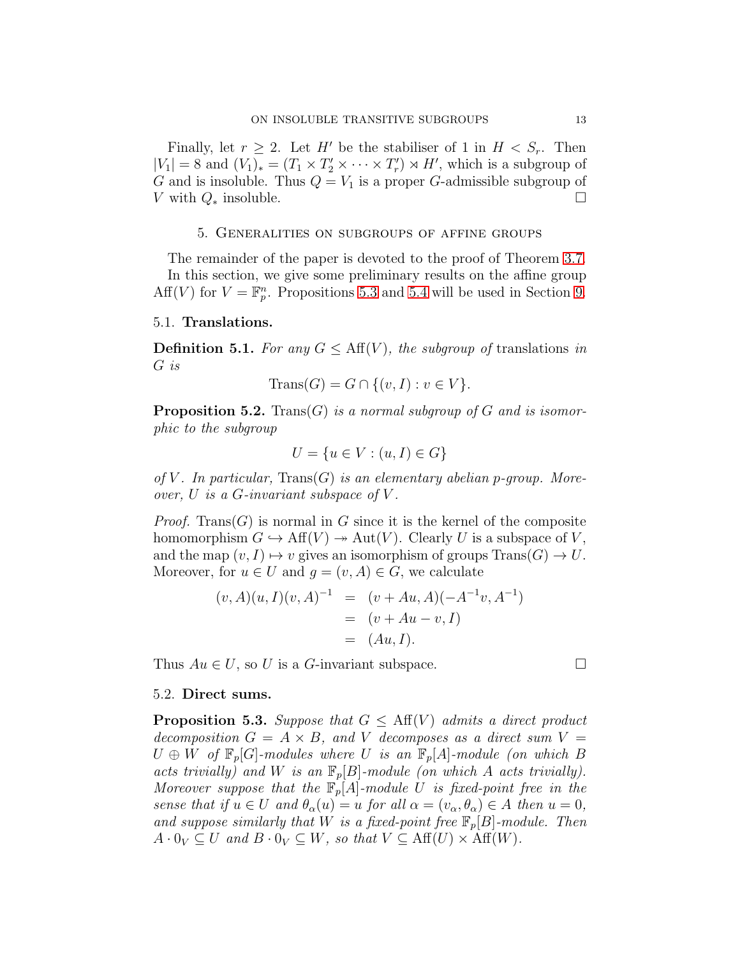Finally, let  $r \geq 2$ . Let H' be the stabiliser of 1 in  $H < S_r$ . Then  $|V_1| = 8$  and  $(V_1)_* = (T_1 \times T_2' \times \cdots \times T_r') \times H'$ , which is a subgroup of G and is insoluble. Thus  $Q = V_1$  is a proper G-admissible subgroup of V with  $Q_*$  insoluble.  $□$ 

## 5. Generalities on subgroups of affine groups

<span id="page-12-0"></span>The remainder of the paper is devoted to the proof of Theorem [3.7.](#page-6-1) In this section, we give some preliminary results on the affine group Aff(V) for  $V = \mathbb{F}_p^n$ . Propositions [5.3](#page-12-1) and [5.4](#page-13-0) will be used in Section [9.](#page-24-0)

## 5.1. Translations.

**Definition 5.1.** For any  $G \leq \text{Aff}(V)$ , the subgroup of translations in G is

$$
\text{Trans}(G) = G \cap \{ (v, I) : v \in V \}.
$$

<span id="page-12-2"></span>**Proposition 5.2.** Trans(G) is a normal subgroup of G and is isomorphic to the subgroup

$$
U = \{u \in V : (u, I) \in G\}
$$

of V. In particular,  $Trans(G)$  is an elementary abelian p-group. Moreover,  $U$  is a  $G$ -invariant subspace of  $V$ .

*Proof.* Trans(G) is normal in G since it is the kernel of the composite homomorphism  $G \hookrightarrow \text{Aff}(V) \rightarrow \text{Aut}(V)$ . Clearly U is a subspace of V, and the map  $(v, I) \mapsto v$  gives an isomorphism of groups  $Trans(G) \rightarrow U$ . Moreover, for  $u \in U$  and  $q = (v, A) \in G$ , we calculate

$$
(v, A)(u, I)(v, A)^{-1} = (v + Au, A)(-A^{-1}v, A^{-1})
$$
  
=  $(v + Au - v, I)$   
=  $(Au, I).$ 

Thus  $Au \in U$ , so U is a G-invariant subspace.

## 5.2. Direct sums.

<span id="page-12-1"></span>**Proposition 5.3.** Suppose that  $G \leq \text{Aff}(V)$  admits a direct product decomposition  $G = A \times B$ , and V decomposes as a direct sum  $V =$  $U \oplus W$  of  $\mathbb{F}_p[G]$ -modules where U is an  $\mathbb{F}_p[A]$ -module (on which B acts trivially) and W is an  $\mathbb{F}_p[B]$ -module (on which A acts trivially). Moreover suppose that the  $\mathbb{F}_p[A]$ -module U is fixed-point free in the sense that if  $u \in U$  and  $\theta_{\alpha}(u) = u$  for all  $\alpha = (v_{\alpha}, \theta_{\alpha}) \in A$  then  $u = 0$ , and suppose similarly that W is a fixed-point free  $\mathbb{F}_p[B]$ -module. Then  $A \cdot 0_V \subseteq U$  and  $B \cdot 0_V \subseteq W$ , so that  $V \subseteq Aff(U) \times Aff(W)$ .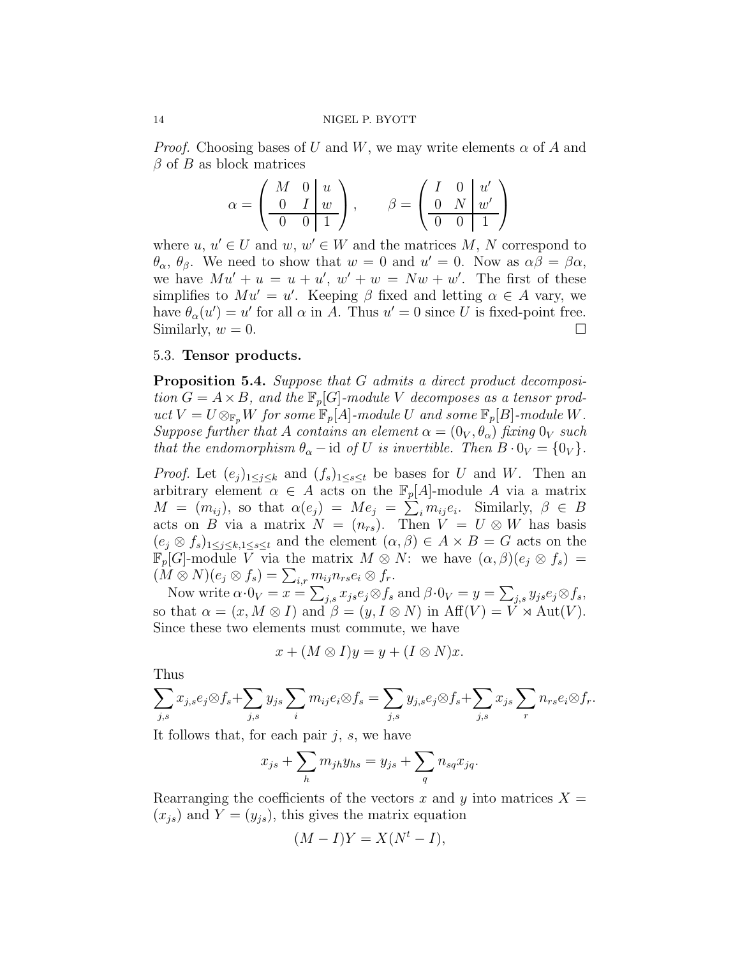*Proof.* Choosing bases of U and W, we may write elements  $\alpha$  of A and  $\beta$  of B as block matrices

$$
\alpha = \begin{pmatrix} M & 0 & u \\ 0 & I & w \\ \hline 0 & 0 & 1 \end{pmatrix}, \qquad \beta = \begin{pmatrix} I & 0 & u' \\ 0 & N & w' \\ \hline 0 & 0 & 1 \end{pmatrix}
$$

where  $u, u' \in U$  and  $w, w' \in W$  and the matrices  $M, N$  correspond to  $\theta_{\alpha}$ ,  $\theta_{\beta}$ . We need to show that  $w = 0$  and  $u' = 0$ . Now as  $\alpha\beta = \beta\alpha$ , we have  $Mu' + u = u + u'$ ,  $w' + w = Nw + w'$ . The first of these simplifies to  $Mu' = u'$ . Keeping  $\beta$  fixed and letting  $\alpha \in A$  vary, we have  $\theta_{\alpha}(u') = u'$  for all  $\alpha$  in A. Thus  $u' = 0$  since U is fixed-point free. Similarly,  $w = 0$ .

## 5.3. Tensor products.

<span id="page-13-0"></span>Proposition 5.4. Suppose that G admits a direct product decomposition  $G = A \times B$ , and the  $\mathbb{F}_p[G]$ -module V decomposes as a tensor product  $V = U \otimes_{\mathbb{F}_p} W$  for some  $\mathbb{F}_p[A]$ -module U and some  $\mathbb{F}_p[B]$ -module W. Suppose further that A contains an element  $\alpha = (0_V, \theta_\alpha)$  fixing  $0_V$  such that the endomorphism  $\theta_{\alpha}$  – id of U is invertible. Then  $B \cdot 0_V = \{0_V\}$ .

*Proof.* Let  $(e_j)_{1\leq j\leq k}$  and  $(f_s)_{1\leq s\leq t}$  be bases for U and W. Then an arbitrary element  $\alpha \in A$  acts on the  $\mathbb{F}_p[A]$ -module A via a matrix  $M = (m_{ij})$ , so that  $\alpha(e_j) = Me_j = \sum_i m_{ij} e_i$ . Similarly,  $\beta \in B$ acts on B via a matrix  $N = (n_{rs})$ . Then  $V = U \otimes W$  has basis  $(e_j \otimes f_s)_{1 \leq j \leq k, 1 \leq s \leq t}$  and the element  $(\alpha, \beta) \in A \times B = G$  acts on the  $\mathbb{F}_p[G]$ -module V via the matrix  $M \otimes N$ : we have  $(\alpha, \beta)(e_i \otimes f_s)$  =  $(M \otimes N)(e_j \otimes f_s) = \sum_{i,r} m_{ij} n_{rs} e_i \otimes f_r.$ 

Now write  $\alpha \cdot 0_V = x = \sum_{j,s} x_{js} e_j \otimes f_s$  and  $\beta \cdot 0_V = y = \sum_{j,s} y_{js} e_j \otimes f_s$ , so that  $\alpha = (x, M \otimes I)$  and  $\beta = (y, I \otimes N)$  in  $Aff(V) = V \rtimes Aut(V)$ . Since these two elements must commute, we have

$$
x + (M \otimes I)y = y + (I \otimes N)x.
$$

Thus

$$
\sum_{j,s} x_{j,s} e_j \otimes f_s + \sum_{j,s} y_{js} \sum_i m_{ij} e_i \otimes f_s = \sum_{j,s} y_{j,s} e_j \otimes f_s + \sum_{j,s} x_{js} \sum_r n_{rs} e_i \otimes f_r.
$$

It follows that, for each pair  $j, s$ , we have

$$
x_{js} + \sum_h m_{jh} y_{hs} = y_{js} + \sum_q n_{sq} x_{jq}.
$$

Rearranging the coefficients of the vectors x and y into matrices  $X =$  $(x_{js})$  and  $Y = (y_{js})$ , this gives the matrix equation

$$
(M - I)Y = X(N^t - I),
$$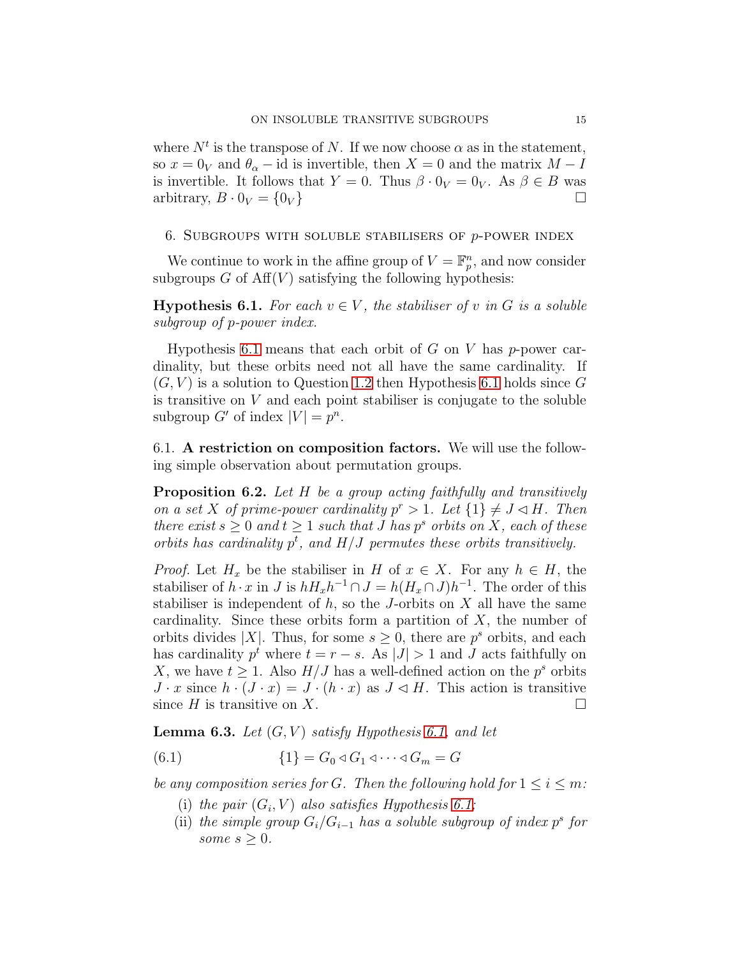where  $N^t$  is the transpose of N. If we now choose  $\alpha$  as in the statement, so  $x = 0<sub>V</sub>$  and  $\theta<sub>\alpha</sub> - id$  is invertible, then  $X = 0$  and the matrix  $M - I$ is invertible. It follows that  $Y = 0$ . Thus  $\beta \cdot 0_V = 0_V$ . As  $\beta \in B$  was arbitrary,  $B \cdot 0_V = \{0_V\}$ 

## <span id="page-14-0"></span>6. SUBGROUPS WITH SOLUBLE STABILISERS OF  $p$ -POWER INDEX

We continue to work in the affine group of  $V = \mathbb{F}_p^n$ , and now consider subgroups  $G$  of  $Aff(V)$  satisfying the following hypothesis:

<span id="page-14-1"></span>**Hypothesis 6.1.** For each  $v \in V$ , the stabiliser of v in G is a soluble subgroup of p-power index.

Hypothesis [6.1](#page-14-1) means that each orbit of  $G$  on  $V$  has p-power cardinality, but these orbits need not all have the same cardinality. If  $(G, V)$  is a solution to Question [1.2](#page-1-0) then Hypothesis [6.1](#page-14-1) holds since G is transitive on  $V$  and each point stabiliser is conjugate to the soluble subgroup G' of index  $|V| = p^n$ .

6.1. A restriction on composition factors. We will use the following simple observation about permutation groups.

<span id="page-14-2"></span>**Proposition 6.2.** Let H be a group acting faithfully and transitively on a set X of prime-power cardinality  $p^r > 1$ . Let  $\{1\} \neq J \lhd H$ . Then there exist  $s \geq 0$  and  $t \geq 1$  such that J has  $p^s$  orbits on X, each of these orbits has cardinality  $p^t$ , and  $H/J$  permutes these orbits transitively.

*Proof.* Let  $H_x$  be the stabiliser in H of  $x \in X$ . For any  $h \in H$ , the stabiliser of  $h \cdot x$  in J is  $h H_x h^{-1} \cap J = h (H_x \cap J) h^{-1}$ . The order of this stabiliser is independent of  $h$ , so the J-orbits on  $X$  all have the same cardinality. Since these orbits form a partition of  $X$ , the number of orbits divides |X|. Thus, for some  $s \geq 0$ , there are  $p<sup>s</sup>$  orbits, and each has cardinality  $p^t$  where  $t = r - s$ . As  $|J| > 1$  and J acts faithfully on X, we have  $t \geq 1$ . Also  $H/J$  has a well-defined action on the  $p^s$  orbits  $J \cdot x$  since  $h \cdot (J \cdot x) = J \cdot (h \cdot x)$  as  $J \lhd H$ . This action is transitive since H is transitive on X.

<span id="page-14-4"></span>**Lemma 6.3.** Let  $(G, V)$  satisfy Hypothesis [6.1,](#page-14-1) and let

$$
(6.1) \qquad \{1\} = G_0 \triangleleft G_1 \triangleleft \cdots \triangleleft G_m = G
$$

be any composition series for G. Then the following hold for  $1 \leq i \leq m$ :

- <span id="page-14-3"></span>(i) the pair  $(G_i, V)$  also satisfies Hypothesis [6.1;](#page-14-1)
- (ii) the simple group  $G_i/G_{i-1}$  has a soluble subgroup of index p<sup>s</sup> for some  $s \geq 0$ .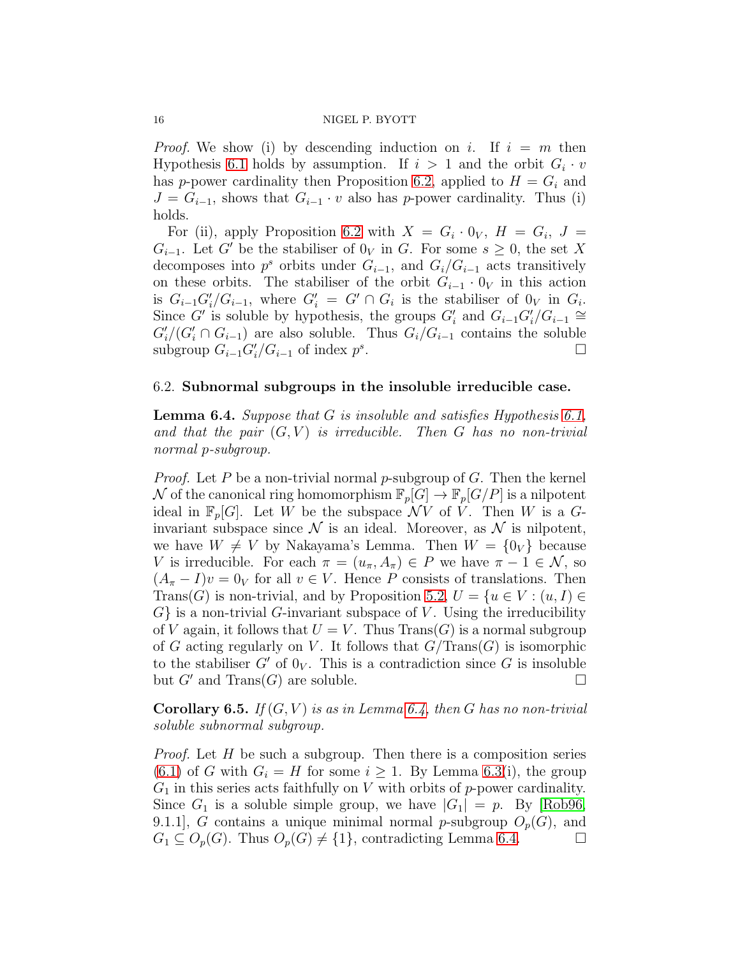*Proof.* We show (i) by descending induction on i. If  $i = m$  then Hypothesis [6.1](#page-14-1) holds by assumption. If  $i > 1$  and the orbit  $G_i \cdot v$ has p-power cardinality then Proposition [6.2,](#page-14-2) applied to  $H = G_i$  and  $J = G_{i-1}$ , shows that  $G_{i-1} \cdot v$  also has p-power cardinality. Thus (i) holds.

For (ii), apply Proposition [6.2](#page-14-2) with  $X = G_i \cdot 0_V$ ,  $H = G_i$ ,  $J =$  $G_{i-1}$ . Let G' be the stabiliser of  $0_V$  in G. For some  $s \geq 0$ , the set X decomposes into  $p^s$  orbits under  $G_{i-1}$ , and  $G_i/G_{i-1}$  acts transitively on these orbits. The stabiliser of the orbit  $G_{i-1} \cdot 0_V$  in this action is  $G_{i-1}G'_{i}/G_{i-1}$ , where  $G'_{i} = G' \cap G_{i}$  is the stabiliser of  $0_V$  in  $G_{i}$ . Since G' is soluble by hypothesis, the groups  $G'_i$  and  $G_{i-1}G'_i/G_{i-1} \cong$  $G'_{i}/(G'_{i} \cap G_{i-1})$  are also soluble. Thus  $G_{i}/G_{i-1}$  contains the soluble subgroup  $G_{i-1}G'_{i}/G_{i-1}$  of index  $p^s$ .

## 6.2. Subnormal subgroups in the insoluble irreducible case.

<span id="page-15-0"></span>**Lemma 6.4.** Suppose that  $G$  is insoluble and satisfies Hypothesis [6.1,](#page-14-1) and that the pair  $(G, V)$  is irreducible. Then G has no non-trivial normal p-subgroup.

*Proof.* Let P be a non-trivial normal p-subgroup of G. Then the kernel N of the canonical ring homomorphism  $\mathbb{F}_p[G] \to \mathbb{F}_p[G/P]$  is a nilpotent ideal in  $\mathbb{F}_p[G]$ . Let W be the subspace  $\mathcal{N}V$  of V. Then W is a Ginvariant subspace since  $\mathcal N$  is an ideal. Moreover, as  $\mathcal N$  is nilpotent, we have  $W \neq V$  by Nakayama's Lemma. Then  $W = \{0_V\}$  because V is irreducible. For each  $\pi = (u_{\pi}, A_{\pi}) \in P$  we have  $\pi - 1 \in \mathcal{N}$ , so  $(A_{\pi}-I)v=0<sub>V</sub>$  for all  $v\in V$ . Hence P consists of translations. Then Trans(G) is non-trivial, and by Proposition [5.2,](#page-12-2)  $U = \{u \in V : (u, I) \in$  $G$  is a non-trivial G-invariant subspace of V. Using the irreducibility of V again, it follows that  $U = V$ . Thus  $Trans(G)$  is a normal subgroup of G acting regularly on V. It follows that  $G/\mathrm{Trans}(G)$  is isomorphic to the stabiliser  $G'$  of  $0_V$ . This is a contradiction since G is insoluble but  $G'$  and  $\text{Trans}(G)$  are soluble.

<span id="page-15-1"></span>**Corollary 6.5.** If  $(G, V)$  is as in Lemma [6.4,](#page-15-0) then G has no non-trivial soluble subnormal subgroup.

*Proof.* Let  $H$  be such a subgroup. Then there is a composition series  $(6.1)$  of G with  $G_i = H$  for some  $i \geq 1$ . By Lemma [6.3\(](#page-14-4)i), the group  $G_1$  in this series acts faithfully on V with orbits of p-power cardinality. Since  $G_1$  is a soluble simple group, we have  $|G_1| = p$ . By [\[Rob96,](#page-29-11) 9.1.1, G contains a unique minimal normal p-subgroup  $O_p(G)$ , and  $G_1 \subseteq O_p(G)$ . Thus  $O_p(G) \neq \{1\}$ , contradicting Lemma [6.4.](#page-15-0)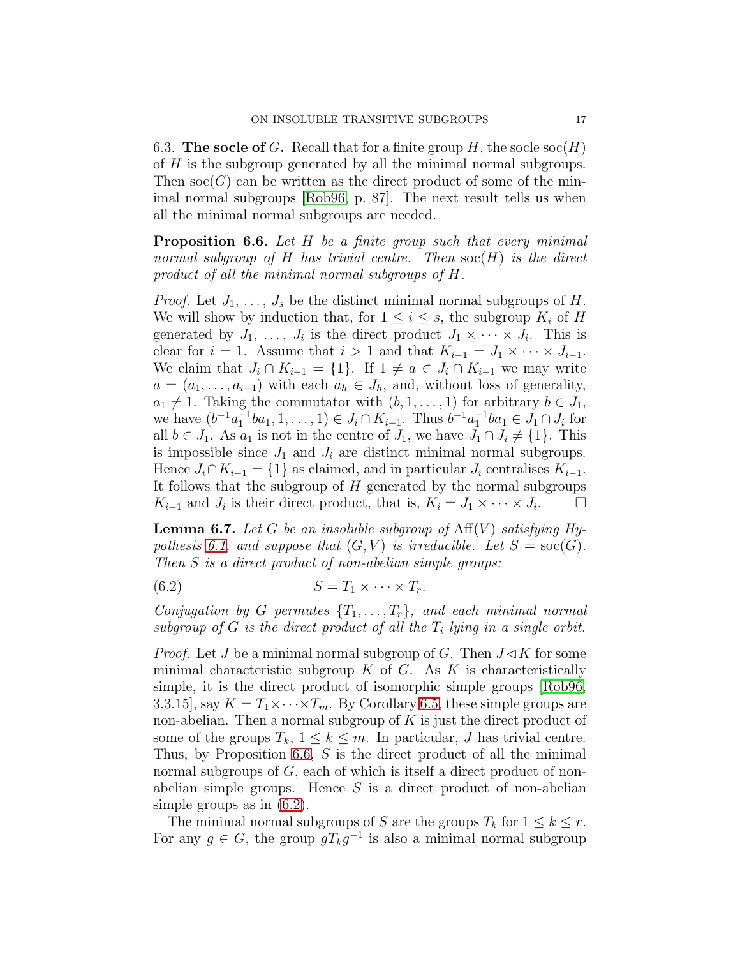6.3. The socle of G. Recall that for a finite group H, the socle  $\operatorname{soc}(H)$ of H is the subgroup generated by all the minimal normal subgroups. Then  $\operatorname{soc}(G)$  can be written as the direct product of some of the minimal normal subgroups [\[Rob96,](#page-29-11) p. 87]. The next result tells us when all the minimal normal subgroups are needed.

<span id="page-16-0"></span>**Proposition 6.6.** Let H be a finite group such that every minimal normal subgroup of H has trivial centre. Then  $\operatorname{soc}(H)$  is the direct product of all the minimal normal subgroups of H.

*Proof.* Let  $J_1, \ldots, J_s$  be the distinct minimal normal subgroups of H. We will show by induction that, for  $1 \leq i \leq s$ , the subgroup  $K_i$  of H generated by  $J_1, \ldots, J_i$  is the direct product  $J_1 \times \cdots \times J_i$ . This is clear for  $i = 1$ . Assume that  $i > 1$  and that  $K_{i-1} = J_1 \times \cdots \times J_{i-1}$ . We claim that  $J_i \cap K_{i-1} = \{1\}$ . If  $1 \neq a \in J_i \cap K_{i-1}$  we may write  $a = (a_1, \ldots, a_{i-1})$  with each  $a_h \in J_h$ , and, without loss of generality,  $a_1 \neq 1$ . Taking the commutator with  $(b, 1, \ldots, 1)$  for arbitrary  $b \in J_1$ , we have  $(b^{-1}a_1^{-1}ba_1, 1, \ldots, 1) \in J_i \cap K_{i-1}$ . Thus  $b^{-1}a_1^{-1}ba_1 \in J_1 \cap J_i$  for all  $b \in J_1$ . As  $a_1$  is not in the centre of  $J_1$ , we have  $J_1 \cap J_i \neq \{1\}$ . This is impossible since  $J_1$  and  $J_i$  are distinct minimal normal subgroups. Hence  $J_i \cap K_{i-1} = \{1\}$  as claimed, and in particular  $J_i$  centralises  $K_{i-1}$ . It follows that the subgroup of  $H$  generated by the normal subgroups  $K_{i-1}$  and  $J_i$  is their direct product, that is,  $K_i = J_1 \times \cdots \times J_i$  $\Box$ 

<span id="page-16-2"></span>**Lemma 6.7.** Let G be an insoluble subgroup of  $Aff(V)$  satisfying Hy-pothesis [6.1,](#page-14-1) and suppose that  $(G, V)$  is irreducible. Let  $S = \text{soc}(G)$ . Then S is a direct product of non-abelian simple groups:

<span id="page-16-1"></span>
$$
(6.2) \t\t S = T_1 \times \cdots \times T_r.
$$

Conjugation by G permutes  $\{T_1, \ldots, T_r\}$ , and each minimal normal subgroup of  $G$  is the direct product of all the  $T_i$  lying in a single orbit.

*Proof.* Let J be a minimal normal subgroup of G. Then  $J \triangleleft K$  for some minimal characteristic subgroup  $K$  of  $G$ . As  $K$  is characteristically simple, it is the direct product of isomorphic simple groups [\[Rob96,](#page-29-11) 3.3.15], say  $K = T_1 \times \cdots \times T_m$ . By Corollary [6.5,](#page-15-1) these simple groups are non-abelian. Then a normal subgroup of  $K$  is just the direct product of some of the groups  $T_k$ ,  $1 \leq k \leq m$ . In particular, J has trivial centre. Thus, by Proposition [6.6,](#page-16-0) S is the direct product of all the minimal normal subgroups of G, each of which is itself a direct product of nonabelian simple groups. Hence  $S$  is a direct product of non-abelian simple groups as in [\(6.2\)](#page-16-1).

The minimal normal subgroups of S are the groups  $T_k$  for  $1 \leq k \leq r$ . For any  $g \in G$ , the group  $g T_k g^{-1}$  is also a minimal normal subgroup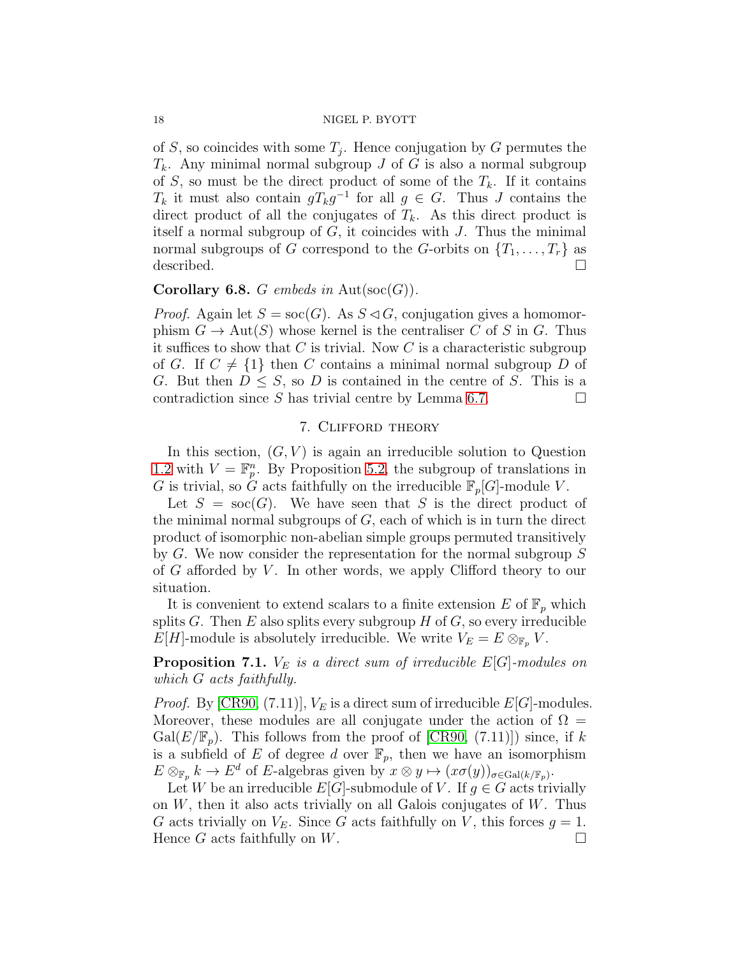of S, so coincides with some  $T_j$ . Hence conjugation by G permutes the  $T_k$ . Any minimal normal subgroup J of G is also a normal subgroup of S, so must be the direct product of some of the  $T_k$ . If it contains  $T_k$  it must also contain  $gT_kg^{-1}$  for all  $g \in G$ . Thus J contains the direct product of all the conjugates of  $T_k$ . As this direct product is itself a normal subgroup of  $G$ , it coincides with  $J$ . Thus the minimal normal subgroups of G correspond to the G-orbits on  $\{T_1, \ldots, T_r\}$  as described.

## <span id="page-17-2"></span>**Corollary 6.8.** G embeds in Aut $(\text{soc}(G))$ .

*Proof.* Again let  $S = \text{soc}(G)$ . As  $S \triangleleft G$ , conjugation gives a homomorphism  $G \to \text{Aut}(S)$  whose kernel is the centraliser C of S in G. Thus it suffices to show that  $C$  is trivial. Now  $C$  is a characteristic subgroup of G. If  $C \neq \{1\}$  then C contains a minimal normal subgroup D of G. But then  $D \leq S$ , so D is contained in the centre of S. This is a contradiction since S has trivial centre by Lemma [6.7.](#page-16-2)  $\Box$ 

## 7. Clifford theory

<span id="page-17-0"></span>In this section,  $(G, V)$  is again an irreducible solution to Question [1.2](#page-1-0) with  $V = \mathbb{F}_p^n$ . By Proposition [5.2,](#page-12-2) the subgroup of translations in G is trivial, so G acts faithfully on the irreducible  $\mathbb{F}_p[G]$ -module V.

Let  $S = \text{soc}(G)$ . We have seen that S is the direct product of the minimal normal subgroups of  $G$ , each of which is in turn the direct product of isomorphic non-abelian simple groups permuted transitively by G. We now consider the representation for the normal subgroup S of  $G$  afforded by  $V$ . In other words, we apply Clifford theory to our situation.

It is convenient to extend scalars to a finite extension E of  $\mathbb{F}_p$  which splits G. Then E also splits every subgroup  $H$  of  $G$ , so every irreducible  $E[H]$ -module is absolutely irreducible. We write  $V_E = E \otimes_{\mathbb{F}_p} V$ .

<span id="page-17-1"></span>**Proposition 7.1.**  $V_E$  is a direct sum of irreducible  $E[G]$ -modules on which G acts faithfully.

*Proof.* By [\[CR90,](#page-29-13) (7.11)],  $V_E$  is a direct sum of irreducible  $E[G]$ -modules. Moreover, these modules are all conjugate under the action of  $\Omega =$  $Gal(E/\mathbb{F}_p)$ . This follows from the proof of [\[CR90,](#page-29-13) (7.11)]) since, if k is a subfield of E of degree d over  $\mathbb{F}_p$ , then we have an isomorphism  $E \otimes_{\mathbb{F}_p} k \to E^d$  of E-algebras given by  $x \otimes y \mapsto (x \sigma(y))_{\sigma \in \text{Gal}(k/\mathbb{F}_p)}$ .

Let W be an irreducible  $E[G]$ -submodule of V. If  $g \in G$  acts trivially on  $W$ , then it also acts trivially on all Galois conjugates of  $W$ . Thus G acts trivially on  $V_E$ . Since G acts faithfully on V, this forces  $g = 1$ . Hence G acts faithfully on W.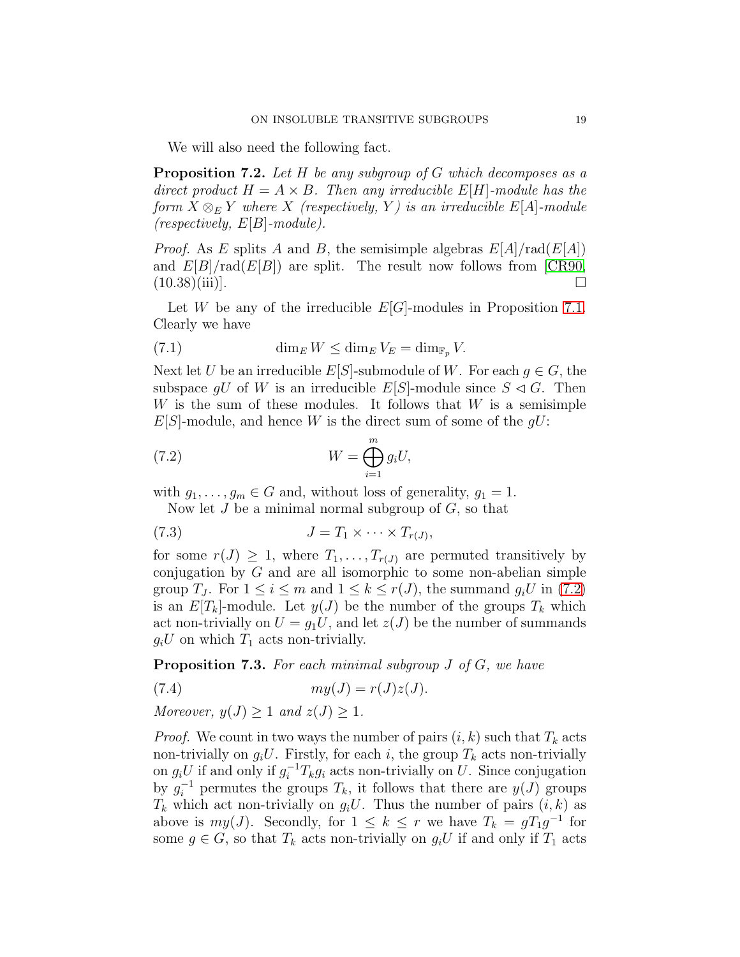We will also need the following fact.

<span id="page-18-2"></span>**Proposition 7.2.** Let  $H$  be any subgroup of  $G$  which decomposes as a direct product  $H = A \times B$ . Then any irreducible  $E[H]$ -module has the form  $X \otimes_E Y$  where X (respectively, Y) is an irreducible E[A]-module  $(respectively, E[B]-module).$ 

*Proof.* As E splits A and B, the semisimple algebras  $E[A]/\text{rad}(E[A])$ and  $E[B]/\text{rad}(E[B])$  are split. The result now follows from [\[CR90,](#page-29-13)  $(10.38)(iii)$ .

Let W be any of the irreducible  $E[G]$ -modules in Proposition [7.1.](#page-17-1) Clearly we have

<span id="page-18-4"></span>(7.1) 
$$
\dim_E W \le \dim_E V_E = \dim_{\mathbb{F}_p} V.
$$

Next let U be an irreducible  $E[S]$ -submodule of W. For each  $g \in G$ , the subspace gU of W is an irreducible E[S]-module since  $S \lhd G$ . Then  $W$  is the sum of these modules. It follows that  $W$  is a semisimple  $E[S]$ -module, and hence W is the direct sum of some of the  $gU$ :

(7.2) 
$$
W = \bigoplus_{i=1}^{m} g_i U,
$$

with  $g_1, \ldots, g_m \in G$  and, without loss of generality,  $g_1 = 1$ .

<span id="page-18-3"></span><span id="page-18-0"></span>Now let  $J$  be a minimal normal subgroup of  $G$ , so that

$$
(7.3) \t\t J = T_1 \times \cdots \times T_{r(J)},
$$

for some  $r(J) \geq 1$ , where  $T_1, \ldots, T_{r(J)}$  are permuted transitively by conjugation by  $G$  and are all isomorphic to some non-abelian simple group  $T_J$ . For  $1 \leq i \leq m$  and  $1 \leq k \leq r(J)$ , the summand  $g_i U$  in [\(7.2\)](#page-18-0) is an  $E[T_k]$ -module. Let  $y(J)$  be the number of the groups  $T_k$  which act non-trivially on  $U = g_1U$ , and let  $z(J)$  be the number of summands  $g_iU$  on which  $T_1$  acts non-trivially.

<span id="page-18-5"></span>**Proposition 7.3.** For each minimal subgroup  $J$  of  $G$ , we have

<span id="page-18-1"></span>
$$
(7.4) \t\t my(J) = r(J)z(J).
$$

Moreover,  $y(J) > 1$  and  $z(J) > 1$ .

*Proof.* We count in two ways the number of pairs  $(i, k)$  such that  $T_k$  acts non-trivially on  $q_iU$ . Firstly, for each i, the group  $T_k$  acts non-trivially on  $g_i U$  if and only if  $g_i^{-1} T_k g_i$  acts non-trivially on U. Since conjugation by  $g_i^{-1}$  permutes the groups  $T_k$ , it follows that there are  $y(J)$  groups  $T_k$  which act non-trivially on  $g_iU$ . Thus the number of pairs  $(i, k)$  as above is  $my(J)$ . Secondly, for  $1 \leq k \leq r$  we have  $T_k = gT_1g^{-1}$  for some  $g \in G$ , so that  $T_k$  acts non-trivially on  $g_iU$  if and only if  $T_1$  acts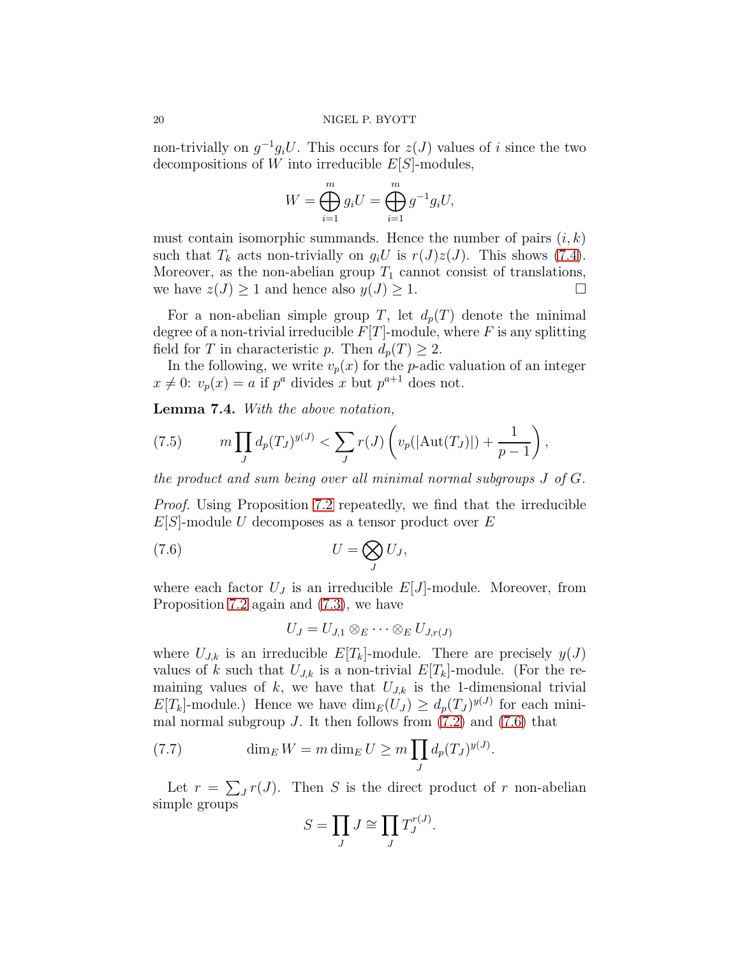non-trivially on  $g^{-1}g_iU$ . This occurs for  $z(J)$  values of i since the two decompositions of W into irreducible  $E[S]$ -modules,

$$
W = \bigoplus_{i=1}^{m} g_i U = \bigoplus_{i=1}^{m} g^{-1} g_i U,
$$

must contain isomorphic summands. Hence the number of pairs  $(i, k)$ such that  $T_k$  acts non-trivially on  $g_iU$  is  $r(J)z(J)$ . This shows [\(7.4\)](#page-18-1). Moreover, as the non-abelian group  $T_1$  cannot consist of translations, we have  $z(J) \geq 1$  and hence also  $y(J) \geq 1$ .

For a non-abelian simple group T, let  $d_p(T)$  denote the minimal degree of a non-trivial irreducible  $F[T]$ -module, where F is any splitting field for T in characteristic p. Then  $d_p(T) \geq 2$ .

In the following, we write  $v_p(x)$  for the p-adic valuation of an integer  $x \neq 0$ :  $v_p(x) = a$  if  $p^a$  divides x but  $p^{a+1}$  does not.

<span id="page-19-3"></span>Lemma 7.4. With the above notation,

<span id="page-19-0"></span>(7.5) 
$$
m \prod_{J} d_p(T_J)^{y(J)} < \sum_{J} r(J) \left( v_p(|\text{Aut}(T_J)|) + \frac{1}{p-1} \right),
$$

the product and sum being over all minimal normal subgroups J of G.

Proof. Using Proposition [7.2](#page-18-2) repeatedly, we find that the irreducible  $E[S]$ -module U decomposes as a tensor product over E

$$
(7.6) \t\t U = \bigotimes_{J} U_J,
$$

where each factor  $U_J$  is an irreducible  $E[J]$ -module. Moreover, from Proposition [7.2](#page-18-2) again and [\(7.3\)](#page-18-3), we have

<span id="page-19-1"></span>
$$
U_J=U_{J,1}\otimes_E\cdots\otimes_E U_{J,r(J)}
$$

where  $U_{J,k}$  is an irreducible  $E[T_k]$ -module. There are precisely  $y(J)$ values of k such that  $U_{J,k}$  is a non-trivial  $E[T_k]$ -module. (For the remaining values of  $k$ , we have that  $U_{J,k}$  is the 1-dimensional trivial  $E[T_k]$ -module.) Hence we have  $\dim_E(U_J) \geq d_p(T_J)^{y(J)}$  for each minimal normal subgroup J. It then follows from  $(7.2)$  and  $(7.6)$  that

(7.7) 
$$
\dim_E W = m \dim_E U \ge m \prod_J d_p(T_J)^{y(J)}.
$$

Let  $r = \sum_{J} r(J)$ . Then S is the direct product of r non-abelian simple groups

<span id="page-19-2"></span>
$$
S = \prod_J J \cong \prod_J T^{r(J)}_J.
$$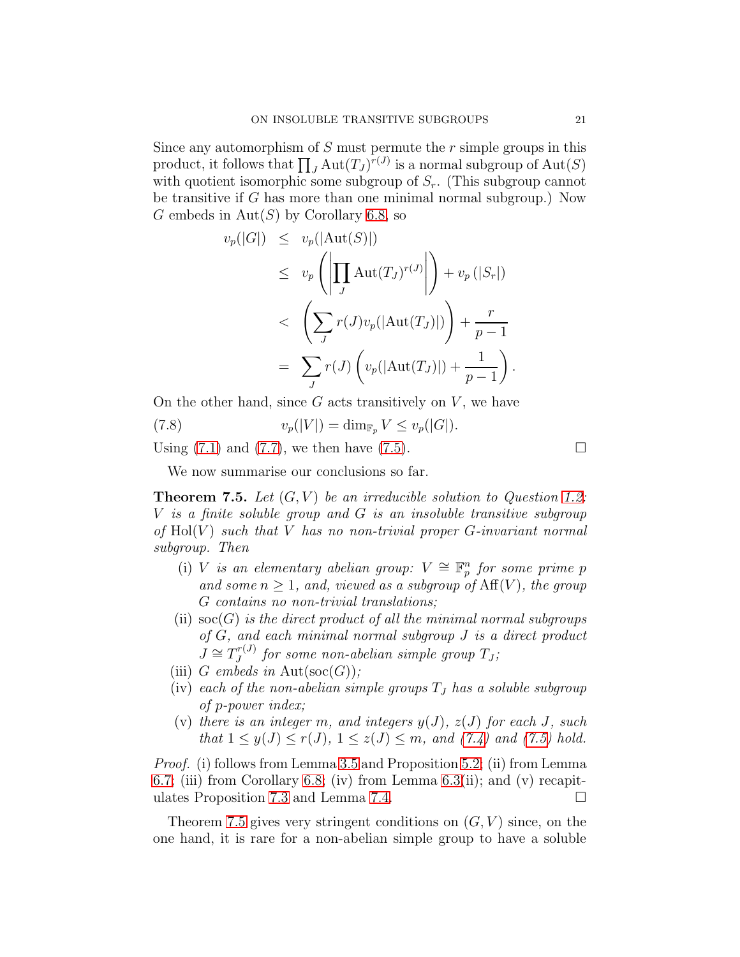Since any automorphism of  $S$  must permute the  $r$  simple groups in this product, it follows that  $\prod_J \text{Aut}(T_J)^{r(J)}$  is a normal subgroup of  $\text{Aut}(S)$ with quotient isomorphic some subgroup of  $S_r$ . (This subgroup cannot be transitive if G has more than one minimal normal subgroup.) Now G embeds in  $Aut(S)$  by Corollary [6.8,](#page-17-2) so

$$
v_p(|G|) \le v_p(|\text{Aut}(S)|)
$$
  
\n
$$
\le v_p\left(\left|\prod_J \text{Aut}(T_J)^{r(J)}\right|\right) + v_p(|S_r|)
$$
  
\n
$$
< \left(\sum_J r(J)v_p(|\text{Aut}(T_J)|)\right) + \frac{r}{p-1}
$$
  
\n
$$
= \sum_J r(J)\left(v_p(|\text{Aut}(T_J)|) + \frac{1}{p-1}\right).
$$

On the other hand, since  $G$  acts transitively on  $V$ , we have

(7.8) 
$$
v_p(|V|) = \dim_{\mathbb{F}_p} V \le v_p(|G|).
$$

Using  $(7.1)$  and  $(7.7)$ , we then have  $(7.5)$ .

We now summarise our conclusions so far.

<span id="page-20-0"></span>**Theorem 7.5.** Let  $(G, V)$  be an irreducible solution to Question [1.2:](#page-1-0) V is a finite soluble group and G is an insoluble transitive subgroup of  $Hol(V)$  such that V has no non-trivial proper G-invariant normal subgroup. Then

- (i) V is an elementary abelian group:  $V \cong \mathbb{F}_p^n$  for some prime p and some  $n \geq 1$ , and, viewed as a subgroup of  $Aff(V)$ , the group G contains no non-trivial translations;
- (ii)  $\operatorname{soc}(G)$  is the direct product of all the minimal normal subgroups of G, and each minimal normal subgroup J is a direct product  $J \cong T^{r(J)}_J$  $J_J^{(r(J))}$  for some non-abelian simple group  $T_J$ ;
- (iii) G embeds in Aut $(\text{soc}(G))$ ;
- (iv) each of the non-abelian simple groups  $T_J$  has a soluble subgroup of p-power index;
- (v) there is an integer m, and integers  $y(J)$ ,  $z(J)$  for each J, such that  $1 \le y(J) \le r(J), 1 \le z(J) \le m$ , and  $(7.4)$  and  $(7.5)$  hold.

Proof. (i) follows from Lemma [3.5](#page-6-2) and Proposition [5.2;](#page-12-2) (ii) from Lemma [6.7;](#page-16-2) (iii) from Corollary [6.8;](#page-17-2) (iv) from Lemma  $6.3$ (ii); and (v) recapit-ulates Proposition [7.3](#page-18-5) and Lemma [7.4.](#page-19-3)

Theorem [7.5](#page-20-0) gives very stringent conditions on  $(G, V)$  since, on the one hand, it is rare for a non-abelian simple group to have a soluble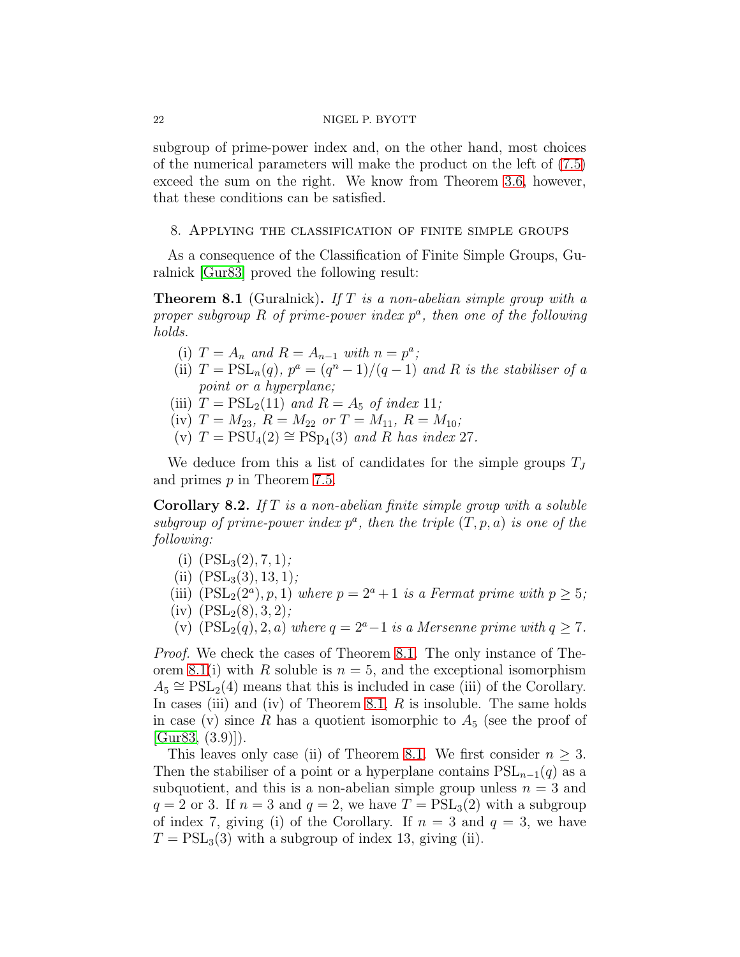subgroup of prime-power index and, on the other hand, most choices of the numerical parameters will make the product on the left of [\(7.5\)](#page-19-0) exceed the sum on the right. We know from Theorem [3.6,](#page-6-0) however, that these conditions can be satisfied.

<span id="page-21-0"></span>8. Applying the classification of finite simple groups

As a consequence of the Classification of Finite Simple Groups, Guralnick [\[Gur83\]](#page-29-10) proved the following result:

<span id="page-21-2"></span>**Theorem 8.1** (Guralnick). If T is a non-abelian simple group with a proper subgroup  $R$  of prime-power index  $p^a$ , then one of the following holds.

- (i)  $T = A_n$  and  $R = A_{n-1}$  with  $n = p^a$ ;
- (ii)  $T = \text{PSL}_n(q)$ ,  $p^a = (q^n 1)/(q 1)$  and R is the stabiliser of a point or a hyperplane;
- (iii)  $T = \text{PSL}_2(11)$  and  $R = A_5$  of index 11;
- (iv)  $T = M_{23}$ ,  $R = M_{22}$  or  $T = M_{11}$ ,  $R = M_{10}$ ;
- $(v)$   $T = \overline{PSU}_4(2) \cong \overline{PSp}_4(3)$  and  $R$  has index 27.

We deduce from this a list of candidates for the simple groups  $T_J$ and primes p in Theorem [7.5.](#page-20-0)

<span id="page-21-1"></span>**Corollary 8.2.** If  $T$  is a non-abelian finite simple group with a soluble subgroup of prime-power index  $p^a$ , then the triple  $(T, p, a)$  is one of the following:

- (i)  $(PSL<sub>3</sub>(2), 7, 1);$
- (ii)  $(PSL<sub>3</sub>(3), 13, 1);$
- (iii)  $(PSL_2(2^a), p, 1)$  where  $p = 2^a + 1$  is a Fermat prime with  $p \ge 5$ ;
- $(iv)$   $(PSL<sub>2</sub>(8), 3, 2);$
- (v)  $(PSL_2(q), 2, a)$  where  $q = 2^a 1$  is a Mersenne prime with  $q > 7$ .

Proof. We check the cases of Theorem [8.1.](#page-21-2) The only instance of The-orem [8.1\(](#page-21-2)i) with R soluble is  $n = 5$ , and the exceptional isomorphism  $A_5 \cong \text{PSL}_2(4)$  means that this is included in case (iii) of the Corollary. In cases (iii) and (iv) of Theorem [8.1,](#page-21-2)  $R$  is insoluble. The same holds in case (v) since R has a quotient isomorphic to  $A_5$  (see the proof of  $[Gur83, (3.9)]$  $[Gur83, (3.9)]$ .

This leaves only case (ii) of Theorem [8.1.](#page-21-2) We first consider  $n \geq 3$ . Then the stabiliser of a point or a hyperplane contains  $PSL_{n-1}(q)$  as a subquotient, and this is a non-abelian simple group unless  $n = 3$  and  $q = 2$  or 3. If  $n = 3$  and  $q = 2$ , we have  $T = \mathrm{PSL}_3(2)$  with a subgroup of index 7, giving (i) of the Corollary. If  $n = 3$  and  $q = 3$ , we have  $T = \text{PSL}_3(3)$  with a subgroup of index 13, giving (ii).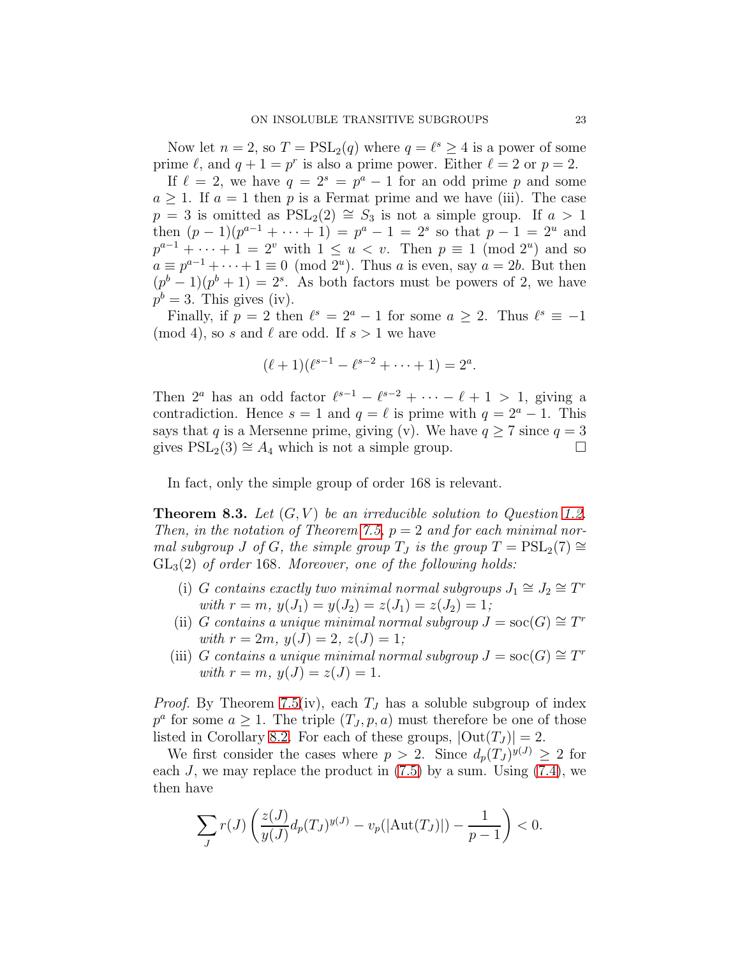Now let  $n = 2$ , so  $T = \text{PSL}_2(q)$  where  $q = \ell^s \geq 4$  is a power of some prime  $\ell$ , and  $q + 1 = p^r$  is also a prime power. Either  $\ell = 2$  or  $p = 2$ .

If  $\ell = 2$ , we have  $q = 2^s = p^a - 1$  for an odd prime p and some  $a \geq 1$ . If  $a = 1$  then p is a Fermat prime and we have (iii). The case  $p = 3$  is omitted as  $PSL_2(2) \cong S_3$  is not a simple group. If  $a > 1$ then  $(p-1)(p^{a-1} + \cdots + 1) = p^a - 1 = 2^s$  so that  $p-1 = 2^u$  and  $p^{a-1} + \cdots + 1 = 2^v$  with  $1 \le u < v$ . Then  $p \equiv 1 \pmod{2^u}$  and so  $a \equiv p^{a-1} + \cdots + 1 \equiv 0 \pmod{2^u}$ . Thus a is even, say  $a = 2b$ . But then  $(p^{b}-1)(p^{b}+1)=2^{s}$ . As both factors must be powers of 2, we have  $p^b = 3$ . This gives (iv).

Finally, if  $p = 2$  then  $\ell^s = 2^a - 1$  for some  $a \geq 2$ . Thus  $\ell^s \equiv -1$ (mod 4), so s and  $\ell$  are odd. If  $s > 1$  we have

$$
(\ell+1)(\ell^{s-1}-\ell^{s-2}+\cdots+1)=2^a.
$$

Then  $2^a$  has an odd factor  $\ell^{s-1} - \ell^{s-2} + \cdots - \ell + 1 > 1$ , giving a contradiction. Hence  $s = 1$  and  $q = \ell$  is prime with  $q = 2^a - 1$ . This says that q is a Mersenne prime, giving (v). We have  $q \ge 7$  since  $q = 3$ gives  $PSL_2(3) \cong A_4$  which is not a simple group.  $\Box$ 

In fact, only the simple group of order 168 is relevant.

<span id="page-22-0"></span>**Theorem 8.3.** Let  $(G, V)$  be an irreducible solution to Question [1.2.](#page-1-0) Then, in the notation of Theorem [7.5,](#page-20-0)  $p = 2$  and for each minimal normal subgroup J of G, the simple group  $T_J$  is the group  $T = \text{PSL}_2(7) \cong$  $GL<sub>3</sub>(2)$  of order 168. Moreover, one of the following holds:

- (i) G contains exactly two minimal normal subgroups  $J_1 \cong J_2 \cong T^r$ with  $r = m$ ,  $y(J_1) = y(J_2) = z(J_1) = z(J_2) = 1$ ;
- (ii) G contains a unique minimal normal subgroup  $J = \operatorname{soc}(G) \cong T^r$ with  $r = 2m$ ,  $y(J) = 2$ ,  $z(J) = 1$ ;
- (iii) G contains a unique minimal normal subgroup  $J = \operatorname{soc}(G) \cong T^r$ with  $r = m$ ,  $y(J) = z(J) = 1$ .

*Proof.* By Theorem [7.5\(](#page-20-0)iv), each  $T_J$  has a soluble subgroup of index  $p^a$  for some  $a \geq 1$ . The triple  $(T_J, p, a)$  must therefore be one of those listed in Corollary [8.2.](#page-21-1) For each of these groups,  $|\text{Out}(T_J)| = 2$ .

We first consider the cases where  $p > 2$ . Since  $d_p(T_J)^{y(J)} \geq 2$  for each J, we may replace the product in  $(7.5)$  by a sum. Using  $(7.4)$ , we then have

$$
\sum_{J} r(J) \left( \frac{z(J)}{y(J)} d_p(T_J)^{y(J)} - v_p(|\text{Aut}(T_J)|) - \frac{1}{p-1} \right) < 0.
$$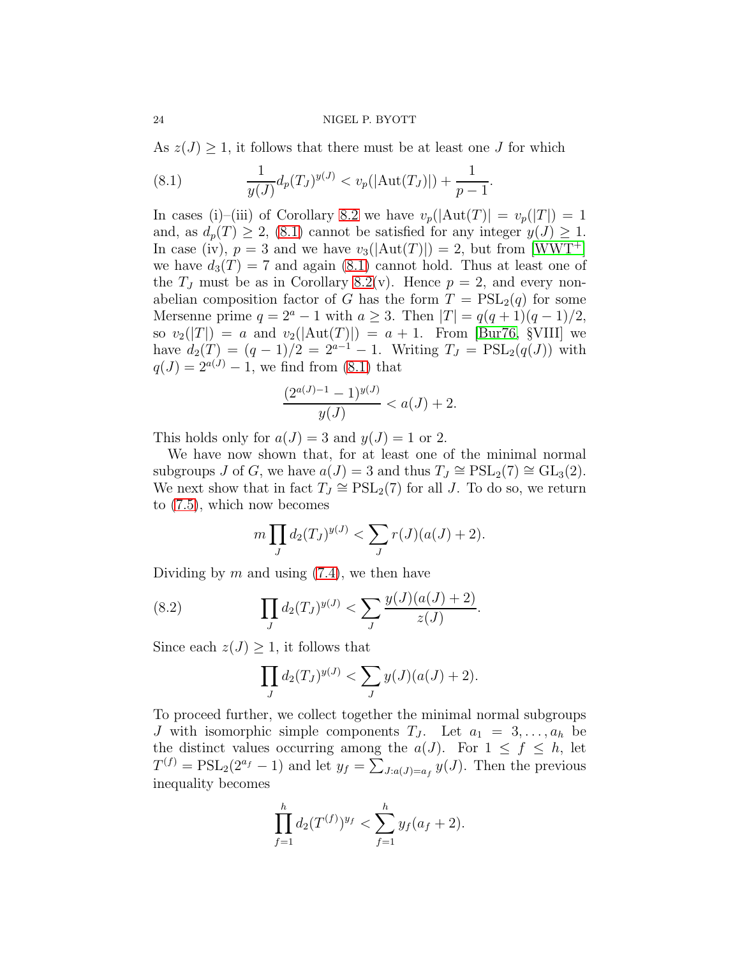As  $z(J) \geq 1$ , it follows that there must be at least one J for which

<span id="page-23-0"></span>(8.1) 
$$
\frac{1}{y(J)}d_p(T_J)^{y(J)} < v_p(|\text{Aut}(T_J)|) + \frac{1}{p-1}.
$$

In cases (i)–(iii) of Corollary [8.2](#page-21-1) we have  $v_p(|\text{Aut}(T)| = v_p(|T|) = 1$ and, as  $d_p(T) \geq 2$ , [\(8.1\)](#page-23-0) cannot be satisfied for any integer  $y(J) \geq 1$ . In case (iv),  $p = 3$  and we have  $v_3(|Aut(T)|) = 2$ , but from [\[WWT](#page-29-14)<sup>+</sup>] we have  $d_3(T) = 7$  and again [\(8.1\)](#page-23-0) cannot hold. Thus at least one of the  $T_J$  must be as in Corollary [8.2\(](#page-21-1)v). Hence  $p = 2$ , and every nonabelian composition factor of G has the form  $T = \text{PSL}_2(q)$  for some Mersenne prime  $q = 2^a - 1$  with  $a \geq 3$ . Then  $|T| = q(q + 1)(q - 1)/2$ , so  $v_2(|T|) = a$  and  $v_2(|Aut(T)|) = a + 1$ . From [\[Bur76,](#page-28-1) §VIII] we have  $d_2(T) = (q-1)/2 = 2^{a-1} - 1$ . Writing  $T_J = \text{PSL}_2(q(J))$  with  $q(J) = 2^{a(J)} - 1$ , we find from [\(8.1\)](#page-23-0) that

$$
\frac{(2^{a(J)-1}-1)^{y(J)}}{y(J)} < a(J) + 2.
$$

This holds only for  $a(J) = 3$  and  $y(J) = 1$  or 2.

We have now shown that, for at least one of the minimal normal subgroups J of G, we have  $a(J) = 3$  and thus  $T_J \cong \text{PSL}_2(7) \cong \text{GL}_3(2)$ . We next show that in fact  $T_J \cong \mathrm{PSL}_2(7)$  for all J. To do so, we return to [\(7.5\)](#page-19-0), which now becomes

$$
m \prod_{J} d_2(T_J)^{y(J)} < \sum_{J} r(J)(a(J) + 2).
$$

Dividing by  $m$  and using  $(7.4)$ , we then have

(8.2) 
$$
\prod_{J} d_2(T_J)^{y(J)} < \sum_{J} \frac{y(J)(a(J) + 2)}{z(J)}.
$$

Since each  $z(J) \geq 1$ , it follows that

<span id="page-23-1"></span>
$$
\prod_{J} d_2(T_J)^{y(J)} < \sum_{J} y(J)(a(J) + 2).
$$

To proceed further, we collect together the minimal normal subgroups J with isomorphic simple components  $T_J$ . Let  $a_1 = 3, \ldots, a_h$  be the distinct values occurring among the  $a(J)$ . For  $1 \leq f \leq h$ , let  $T^{(f)} = \text{PSL}_2(2^{a_f} - 1)$  and let  $y_f = \sum_{J:a(J)=a_f} y(J)$ . Then the previous inequality becomes

$$
\prod_{f=1}^h d_2(T^{(f)})^{y_f} < \sum_{f=1}^h y_f(a_f+2).
$$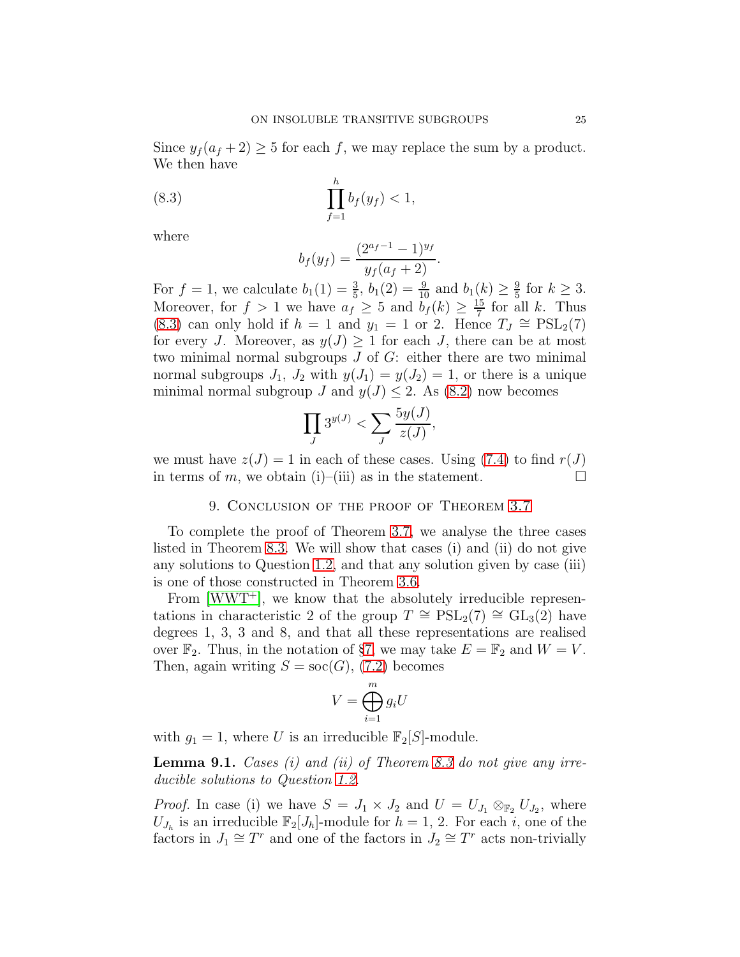Since  $y_f(a_f + 2) \geq 5$  for each f, we may replace the sum by a product. We then have

(8.3) 
$$
\prod_{f=1}^{h} b_f(y_f) < 1,
$$

where

<span id="page-24-1"></span>
$$
b_f(y_f) = \frac{(2^{a_f-1}-1)^{y_f}}{y_f(a_f+2)}.
$$

For  $f = 1$ , we calculate  $b_1(1) = \frac{3}{5}$ ,  $b_1(2) = \frac{9}{10}$  and  $b_1(k) \ge \frac{9}{5}$  $\frac{9}{5}$  for  $k \geq 3$ . Moreover, for  $f > 1$  we have  $a_f \geq 5$  and  $b_f(k) \geq \frac{15}{7}$  $rac{15}{7}$  for all k. Thus [\(8.3\)](#page-24-1) can only hold if  $h = 1$  and  $y_1 = 1$  or 2. Hence  $T_J \cong \text{PSL}_2(7)$ for every J. Moreover, as  $y(J) \geq 1$  for each J, there can be at most two minimal normal subgroups  $J$  of  $G$ : either there are two minimal normal subgroups  $J_1$ ,  $J_2$  with  $y(J_1) = y(J_2) = 1$ , or there is a unique minimal normal subgroup J and  $y(J) \leq 2$ . As [\(8.2\)](#page-23-1) now becomes

$$
\prod_J 3^{y(J)} < \sum_J \frac{5y(J)}{z(J)},
$$

<span id="page-24-0"></span>we must have  $z(J) = 1$  in each of these cases. Using [\(7.4\)](#page-18-1) to find  $r(J)$ in terms of m, we obtain (i)–(iii) as in the statement.  $\square$ 

## 9. Conclusion of the proof of Theorem [3.7](#page-6-1)

To complete the proof of Theorem [3.7,](#page-6-1) we analyse the three cases listed in Theorem [8.3.](#page-22-0) We will show that cases (i) and (ii) do not give any solutions to Question [1.2,](#page-1-0) and that any solution given by case (iii) is one of those constructed in Theorem [3.6.](#page-6-0)

From [\[WWT](#page-29-14)<sup>+</sup>], we know that the absolutely irreducible representations in characteristic 2 of the group  $T \cong \text{PSL}_2(7) \cong \text{GL}_3(2)$  have degrees 1, 3, 3 and 8, and that all these representations are realised over  $\mathbb{F}_2$ . Thus, in the notation of §[7,](#page-17-0) we may take  $E = \mathbb{F}_2$  and  $W = V$ . Then, again writing  $S = \text{soc}(G)$ , [\(7.2\)](#page-18-0) becomes

$$
V = \bigoplus_{i=1}^{m} g_i U
$$

with  $g_1 = 1$ , where U is an irreducible  $\mathbb{F}_2[S]$ -module.

**Lemma 9.1.** Cases (i) and (ii) of Theorem [8.3](#page-22-0) do not give any irreducible solutions to Question [1.2.](#page-1-0)

*Proof.* In case (i) we have  $S = J_1 \times J_2$  and  $U = U_{J_1} \otimes_{\mathbb{F}_2} U_{J_2}$ , where  $U_{J_h}$  is an irreducible  $\mathbb{F}_2[J_h]$ -module for  $h=1, 2$ . For each i, one of the factors in  $J_1 \cong T^r$  and one of the factors in  $J_2 \cong T^r$  acts non-trivially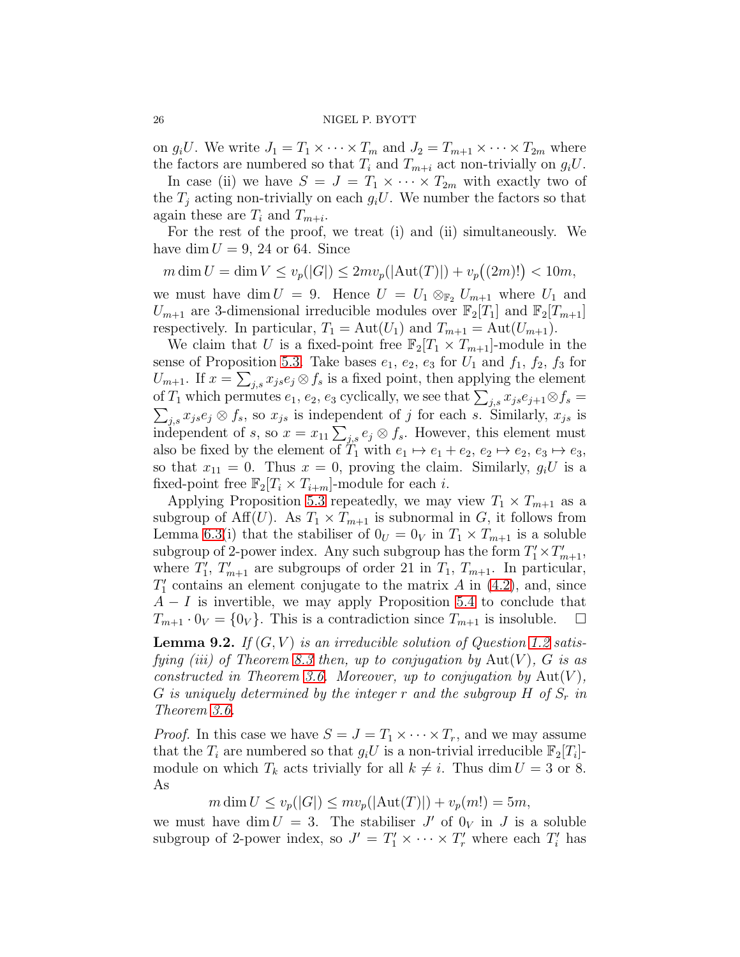on  $g_iU$ . We write  $J_1 = T_1 \times \cdots \times T_m$  and  $J_2 = T_{m+1} \times \cdots \times T_{2m}$  where the factors are numbered so that  $T_i$  and  $T_{m+i}$  act non-trivially on  $g_iU$ .

In case (ii) we have  $S = J = T_1 \times \cdots \times T_{2m}$  with exactly two of the  $T_i$  acting non-trivially on each  $g_iU$ . We number the factors so that again these are  $T_i$  and  $T_{m+i}$ .

For the rest of the proof, we treat (i) and (ii) simultaneously. We have dim  $U = 9, 24$  or 64. Since

 $m \dim U = \dim V \le v_p(|G|) \le 2mv_p(|\text{Aut}(T)|) + v_p((2m)!) < 10m,$ 

we must have dim  $U = 9$ . Hence  $U = U_1 \otimes_{\mathbb{F}_2} U_{m+1}$  where  $U_1$  and  $U_{m+1}$  are 3-dimensional irreducible modules over  $\mathbb{F}_2[T_1]$  and  $\mathbb{F}_2[T_{m+1}]$ respectively. In particular,  $T_1 = \text{Aut}(U_1)$  and  $T_{m+1} = \text{Aut}(U_{m+1})$ .

We claim that U is a fixed-point free  $\mathbb{F}_2[T_1 \times T_{m+1}]$ -module in the sense of Proposition [5.3.](#page-12-1) Take bases  $e_1, e_2, e_3$  for  $U_1$  and  $f_1, f_2, f_3$  for  $U_{m+1}$ . If  $x = \sum_{j,s} x_{js} e_j \otimes f_s$  is a fixed point, then applying the element of  $T_1$  which permutes  $e_1, e_2, e_3$  cyclically, we see that  $\sum_{j,s} x_{js} e_{j+1} \otimes f_s =$  $\sum_{j,s} x_{j,s} e_j \otimes f_s$ , so  $x_{js}$  is independent of j for each s. Similarly,  $x_{js}$  is independent of s, so  $x = x_{11} \sum_{j,s} e_j \otimes f_s$ . However, this element must also be fixed by the element of  $T_1$  with  $e_1 \mapsto e_1 + e_2, e_2 \mapsto e_2, e_3 \mapsto e_3$ , so that  $x_{11} = 0$ . Thus  $x = 0$ , proving the claim. Similarly,  $g_i U$  is a fixed-point free  $\mathbb{F}_2[T_i \times T_{i+m}]$ -module for each *i*.

Applying Proposition [5.3](#page-12-1) repeatedly, we may view  $T_1 \times T_{m+1}$  as a subgroup of Aff $(U)$ . As  $T_1 \times T_{m+1}$  is subnormal in G, it follows from Lemma [6.3\(](#page-14-4)i) that the stabiliser of  $0_U = 0_V$  in  $T_1 \times T_{m+1}$  is a soluble subgroup of 2-power index. Any such subgroup has the form  $T_1' \times T_{m+1}'$ , where  $T_1', T_{m+1}'$  are subgroups of order 21 in  $T_1, T_{m+1}$ . In particular,  $T'_{1}$  contains an element conjugate to the matrix A in [\(4.2\)](#page-8-4), and, since  $A - I$  is invertible, we may apply Proposition [5.4](#page-13-0) to conclude that  $T_{m+1} \cdot 0_V = \{0_V\}.$  This is a contradiction since  $T_{m+1}$  is insoluble.  $\Box$ 

**Lemma 9.2.** If  $(G, V)$  is an irreducible solution of Question [1.2](#page-1-0) satis-fying (iii) of Theorem [8.3](#page-22-0) then, up to conjugation by  $Aut(V)$ , G is as constructed in Theorem [3.6.](#page-6-0) Moreover, up to conjugation by  $Aut(V)$ , G is uniquely determined by the integer r and the subgroup  $H$  of  $S_r$  in Theorem [3.6.](#page-6-0)

*Proof.* In this case we have  $S = J = T_1 \times \cdots \times T_r$ , and we may assume that the  $T_i$  are numbered so that  $g_i U$  is a non-trivial irreducible  $\mathbb{F}_2[T_i]$ module on which  $T_k$  acts trivially for all  $k \neq i$ . Thus dim  $U = 3$  or 8. As

 $m \dim U \leq v_p(|G|) \leq m v_p(|\text{Aut}(T)|) + v_p(m!) = 5m,$ 

we must have dim  $U = 3$ . The stabiliser  $J'$  of  $0_V$  in  $J$  is a soluble subgroup of 2-power index, so  $J' = T'_1 \times \cdots \times T'_r$  where each  $T'_i$  has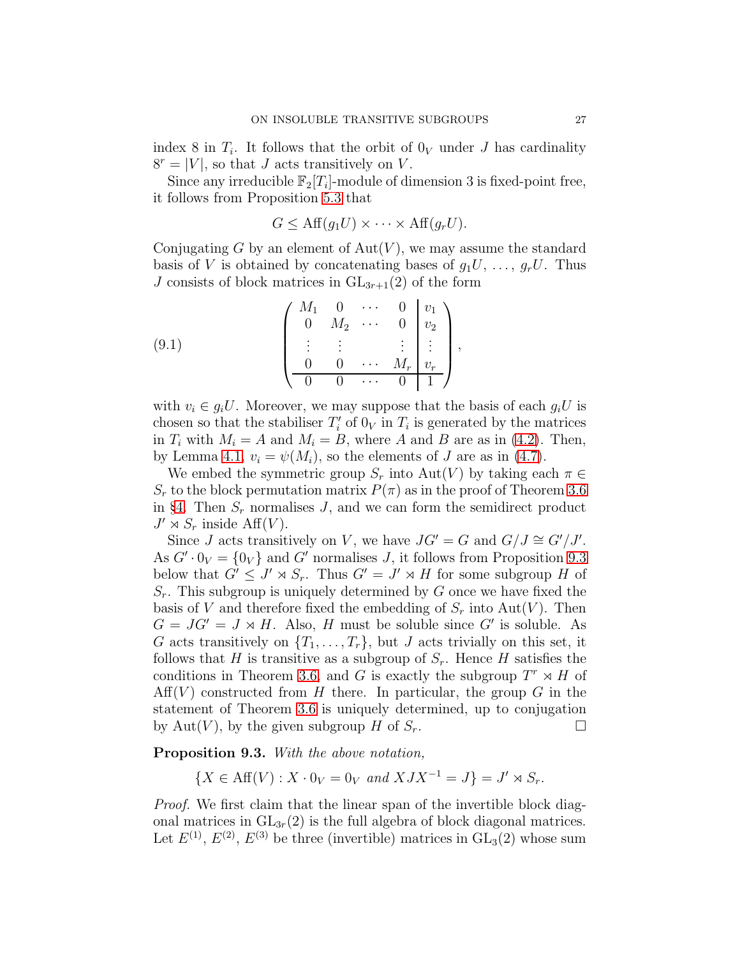index 8 in  $T_i$ . It follows that the orbit of  $0_V$  under J has cardinality  $8^r = |V|$ , so that J acts transitively on V.

Since any irreducible  $\mathbb{F}_2[T_i]$ -module of dimension 3 is fixed-point free, it follows from Proposition [5.3](#page-12-1) that

$$
G \le \text{Aff}(g_1 U) \times \cdots \times \text{Aff}(g_r U).
$$

Conjugating G by an element of  $Aut(V)$ , we may assume the standard basis of V is obtained by concatenating bases of  $g_1U, \ldots, g_rU$ . Thus J consists of block matrices in  $GL_{3r+1}(2)$  of the form

(9.1) 
$$
\begin{pmatrix} M_1 & 0 & \cdots & 0 & v_1 \\ 0 & M_2 & \cdots & 0 & v_2 \\ \vdots & \vdots & & \vdots & \vdots \\ 0 & 0 & \cdots & M_r & v_r \\ \hline 0 & 0 & \cdots & 0 & 1 \end{pmatrix},
$$

with  $v_i \in q_i U$ . Moreover, we may suppose that the basis of each  $q_i U$  is chosen so that the stabiliser  $T_i'$  of  $0_V$  in  $T_i$  is generated by the matrices in  $T_i$  with  $M_i = A$  and  $M_i = B$ , where A and B are as in [\(4.2\)](#page-8-4). Then, by Lemma [4.1,](#page-9-1)  $v_i = \psi(M_i)$ , so the elements of J are as in [\(4.7\)](#page-11-0).

We embed the symmetric group  $S_r$  into Aut(V) by taking each  $\pi \in$  $S_r$  to the block permutation matrix  $P(\pi)$  as in the proof of Theorem [3.6](#page-6-0) in §[4.](#page-7-0) Then  $S_r$  normalises J, and we can form the semidirect product  $J' \rtimes S_r$  inside  $\text{Aff}(V)$ .

Since *J* acts transitively on *V*, we have  $JG' = G$  and  $G/J \cong G'/J'$ . As  $G' \cdot 0_V = \{0_V\}$  and  $G'$  normalises J, it follows from Proposition [9.3](#page-26-0) below that  $G' \leq J' \rtimes S_r$ . Thus  $G' = J' \rtimes H$  for some subgroup H of  $S_r$ . This subgroup is uniquely determined by G once we have fixed the basis of V and therefore fixed the embedding of  $S_r$  into Aut(V). Then  $G = JG' = J \rtimes H$ . Also, H must be soluble since G' is soluble. As G acts transitively on  $\{T_1, \ldots, T_r\}$ , but J acts trivially on this set, it follows that H is transitive as a subgroup of  $S_r$ . Hence H satisfies the conditions in Theorem [3.6,](#page-6-0) and G is exactly the subgroup  $T^r \rtimes H$  of  $Aff(V)$  constructed from H there. In particular, the group G in the statement of Theorem [3.6](#page-6-0) is uniquely determined, up to conjugation by Aut(V), by the given subgroup H of  $S_r$ .

## <span id="page-26-0"></span>Proposition 9.3. With the above notation,

$$
\{X \in \text{Aff}(V) : X \cdot 0_V = 0_V \text{ and } XJX^{-1} = J\} = J' \rtimes S_r.
$$

Proof. We first claim that the linear span of the invertible block diagonal matrices in  $GL_{3r}(2)$  is the full algebra of block diagonal matrices. Let  $E^{(1)}$ ,  $E^{(2)}$ ,  $E^{(3)}$  be three (invertible) matrices in  $GL_3(2)$  whose sum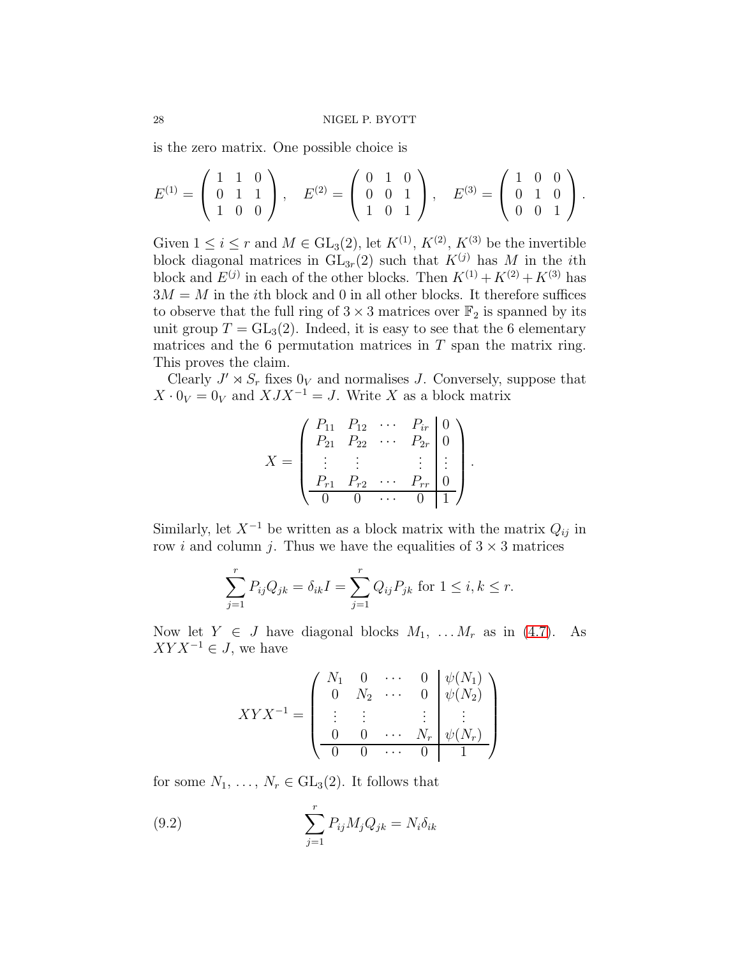is the zero matrix. One possible choice is

$$
E^{(1)} = \begin{pmatrix} 1 & 1 & 0 \\ 0 & 1 & 1 \\ 1 & 0 & 0 \end{pmatrix}, \quad E^{(2)} = \begin{pmatrix} 0 & 1 & 0 \\ 0 & 0 & 1 \\ 1 & 0 & 1 \end{pmatrix}, \quad E^{(3)} = \begin{pmatrix} 1 & 0 & 0 \\ 0 & 1 & 0 \\ 0 & 0 & 1 \end{pmatrix}.
$$

Given  $1 \leq i \leq r$  and  $M \in GL_3(2)$ , let  $K^{(1)}$ ,  $K^{(2)}$ ,  $K^{(3)}$  be the invertible block diagonal matrices in  $GL_{3r}(2)$  such that  $K^{(j)}$  has M in the *i*th block and  $E^{(j)}$  in each of the other blocks. Then  $K^{(1)} + K^{(2)} + K^{(3)}$  has  $3M = M$  in the *i*th block and 0 in all other blocks. It therefore suffices to observe that the full ring of  $3 \times 3$  matrices over  $\mathbb{F}_2$  is spanned by its unit group  $T = GL_3(2)$ . Indeed, it is easy to see that the 6 elementary matrices and the 6 permutation matrices in  $T$  span the matrix ring. This proves the claim.

Clearly  $J' \rtimes S_r$  fixes  $0_V$  and normalises J. Conversely, suppose that  $X \cdot 0_V = 0_V$  and  $X J X^{-1} = J$ . Write X as a block matrix

$$
X = \begin{pmatrix} P_{11} & P_{12} & \cdots & P_{ir} & 0 \\ P_{21} & P_{22} & \cdots & P_{2r} & 0 \\ \vdots & \vdots & & \vdots & \vdots \\ P_{r1} & P_{r2} & \cdots & P_{rr} & 0 \\ \hline 0 & 0 & \cdots & 0 & 1 \end{pmatrix}.
$$

Similarly, let  $X^{-1}$  be written as a block matrix with the matrix  $Q_{ij}$  in row *i* and column *j*. Thus we have the equalities of  $3 \times 3$  matrices

$$
\sum_{j=1}^{r} P_{ij} Q_{jk} = \delta_{ik} I = \sum_{j=1}^{r} Q_{ij} P_{jk}
$$
 for  $1 \le i, k \le r$ .

Now let  $Y \in J$  have diagonal blocks  $M_1, \ldots, M_r$  as in [\(4.7\)](#page-11-0). As  $XYX^{-1} \in J$ , we have

$$
XYX^{-1} = \begin{pmatrix} N_1 & 0 & \cdots & 0 & \psi(N_1) \\ 0 & N_2 & \cdots & 0 & \psi(N_2) \\ \vdots & \vdots & & \vdots & \vdots \\ 0 & 0 & \cdots & N_r & \psi(N_r) \\ \hline 0 & 0 & \cdots & 0 & 1 \end{pmatrix}
$$

for some  $N_1, \ldots, N_r \in GL_3(2)$ . It follows that

<span id="page-27-0"></span>(9.2) 
$$
\sum_{j=1}^{r} P_{ij} M_j Q_{jk} = N_i \delta_{ik}
$$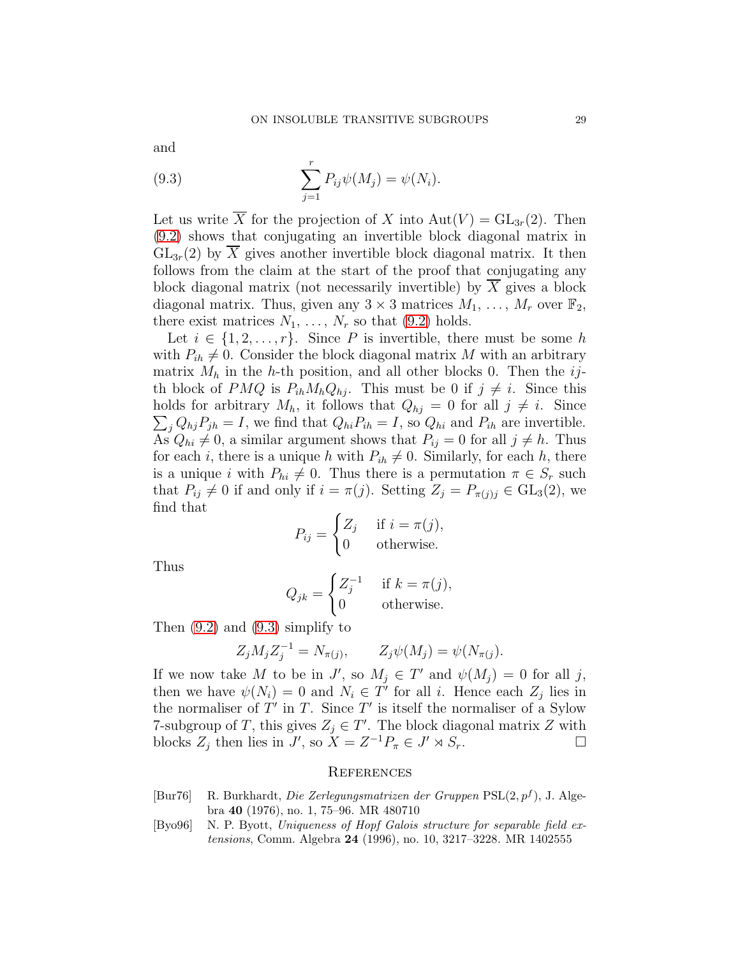and

<span id="page-28-2"></span>(9.3) 
$$
\sum_{j=1}^{r} P_{ij} \psi(M_j) = \psi(N_i).
$$

Let us write  $\overline{X}$  for the projection of X into  $Aut(V) = GL_{3r}(2)$ . Then [\(9.2\)](#page-27-0) shows that conjugating an invertible block diagonal matrix in  $GL_{3r}(2)$  by  $\overline{X}$  gives another invertible block diagonal matrix. It then follows from the claim at the start of the proof that conjugating any block diagonal matrix (not necessarily invertible) by  $X$  gives a block diagonal matrix. Thus, given any  $3 \times 3$  matrices  $M_1, \ldots, M_r$  over  $\mathbb{F}_2$ , there exist matrices  $N_1, \ldots, N_r$  so that [\(9.2\)](#page-27-0) holds.

Let  $i \in \{1, 2, \ldots, r\}$ . Since P is invertible, there must be some h with  $P_{ih} \neq 0$ . Consider the block diagonal matrix M with an arbitrary matrix  $M_h$  in the h-th position, and all other blocks 0. Then the ijth block of PMQ is  $P_{ih}M_hQ_{hi}$ . This must be 0 if  $j \neq i$ . Since this  $\sum_{j} Q_{hj} P_{jh} = I$ , we find that  $Q_{hi} P_{ih} = I$ , so  $Q_{hi}$  and  $P_{ih}$  are invertible. holds for arbitrary  $M_h$ , it follows that  $Q_{hj} = 0$  for all  $j \neq i$ . Since As  $Q_{hi} \neq 0$ , a similar argument shows that  $P_{ij} = 0$  for all  $j \neq h$ . Thus for each i, there is a unique h with  $P_{ih} \neq 0$ . Similarly, for each h, there is a unique i with  $P_{hi} \neq 0$ . Thus there is a permutation  $\pi \in S_r$  such that  $P_{ij} \neq 0$  if and only if  $i = \pi(j)$ . Setting  $Z_j = P_{\pi(j)j} \in GL_3(2)$ , we find that

$$
P_{ij} = \begin{cases} Z_j & \text{if } i = \pi(j), \\ 0 & \text{otherwise.} \end{cases}
$$

Thus

$$
Q_{jk} = \begin{cases} Z_j^{-1} & \text{if } k = \pi(j), \\ 0 & \text{otherwise.} \end{cases}
$$

Then [\(9.2\)](#page-27-0) and [\(9.3\)](#page-28-2) simplify to

$$
Z_j M_j Z_j^{-1} = N_{\pi(j)}, \qquad Z_j \psi(M_j) = \psi(N_{\pi(j)}).
$$

If we now take M to be in J', so  $M_j \in T'$  and  $\psi(M_j) = 0$  for all j, then we have  $\psi(N_i) = 0$  and  $N_i \in T'$  for all i. Hence each  $Z_j$  lies in the normaliser of  $T'$  in  $T$ . Since  $T'$  is itself the normaliser of a Sylow 7-subgroup of T, this gives  $Z_j \in T'$ . The block diagonal matrix Z with blocks  $Z_j$  then lies in  $J'$ , so  $X = Z^{-1}P_\pi \in J' \rtimes S_r$ .

### **REFERENCES**

- <span id="page-28-1"></span>[Bur76] R. Burkhardt, *Die Zerlegungsmatrizen der Gruppen* PSL(2, p<sup>f</sup> ), J. Algebra 40 (1976), no. 1, 75–96. MR 480710
- <span id="page-28-0"></span>[Byo96] N. P. Byott, *Uniqueness of Hopf Galois structure for separable field extensions*, Comm. Algebra 24 (1996), no. 10, 3217–3228. MR 1402555